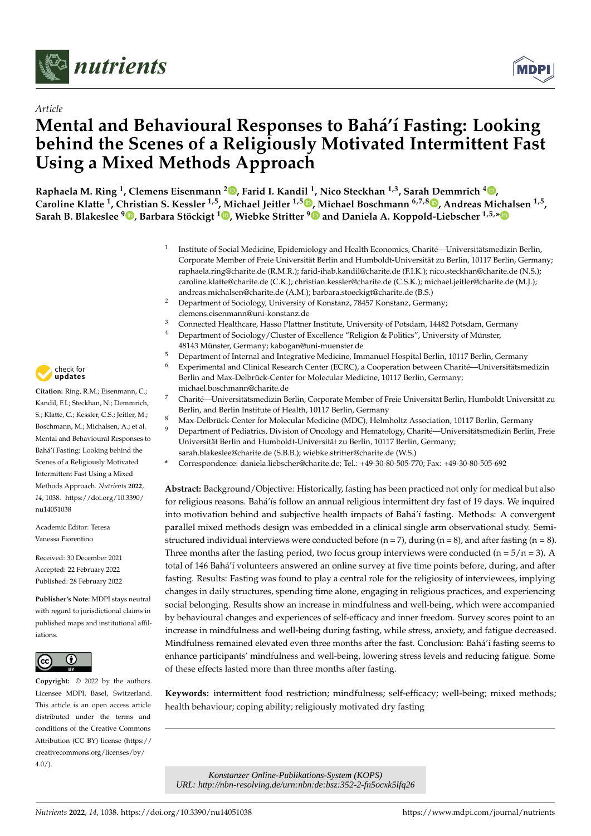



# **Mental and Behavioural Responses to Bahá'í Fasting: Looking behind the Scenes of a Religiously Motivated Intermittent Fast Using a Mixed Methods Approach**

**Raphaela M. Ring <sup>1</sup> , Clemens Eisenmann <sup>2</sup> [,](https://orcid.org/0000-0002-0573-923X) Farid I. Kandil <sup>1</sup> , Nico Steckhan 1,3, Sarah Demmrich <sup>4</sup> [,](https://orcid.org/0000-0001-9362-0441)** Caroline Klatte <sup>1</sup>, C[hri](https://orcid.org/0000-0003-0471-9576)stian S. Kessler <sup>1[,](https://orcid.org/0000-0002-0114-7114)5</sup>, [M](https://orcid.org/0000-0001-6417-5457)ichael Jeitler <sup>1,5</sup> D, Michael Boschmann <sup>6,7,8</sup> D, Andreas Michalsen <sup>1,5</sup>, **Sarah B. Blakeslee <sup>9</sup> , Barbara Stöckigt <sup>1</sup> [,](https://orcid.org/0000-0003-2438-876X) Wiebke Stritter <sup>9</sup> and Daniela A. Koppold-Liebscher 1,5,[\\*](https://orcid.org/0000-0003-3367-3327)**

- 1 Institute of Social Medicine, Epidemiology and Health Economics, Charité—Universitätsmedizin Berlin, Corporate Member of Freie Universität Berlin and Humboldt-Universität zu Berlin, 10117 Berlin, Germany; raphaela.ring@charite.de (R.M.R.); farid-ihab.kandil@charite.de (F.I.K.); nico.steckhan@charite.de (N.S.); caroline.klatte@charite.de (C.K.); christian.kessler@charite.de (C.S.K.); michael.jeitler@charite.de (M.J.); andreas.michalsen@charite.de (A.M.); barbara.stoeckigt@charite.de (B.S.)
- <sup>2</sup> Department of Sociology, University of Konstanz, 78457 Konstanz, Germany; clemens.eisenmann@uni-konstanz.de
- <sup>3</sup> Connected Healthcare, Hasso Plattner Institute, University of Potsdam, 14482 Potsdam, Germany
- <sup>4</sup> Department of Sociology/Cluster of Excellence "Religion & Politics", University of Münster, 48143 Münster, Germany; kabogan@uni-muenster.de
- <sup>5</sup> Department of Internal and Integrative Medicine, Immanuel Hospital Berlin, 10117 Berlin, Germany
- <sup>6</sup> Experimental and Clinical Research Center (ECRC), a Cooperation between Charité—Universitätsmedizin Berlin and Max-Delbrück-Center for Molecular Medicine, 10117 Berlin, Germany; michael.boschmann@charite.de
- <sup>7</sup> Charité—Universitätsmedizin Berlin, Corporate Member of Freie Universität Berlin, Humboldt Universität zu Berlin, and Berlin Institute of Health, 10117 Berlin, Germany
- <sup>8</sup> Max-Delbrück-Center for Molecular Medicine (MDC), Helmholtz Association, 10117 Berlin, Germany
- <sup>9</sup> Department of Pediatrics, Division of Oncology and Hematology, Charité—Universitätsmedizin Berlin, Freie Universität Berlin and Humboldt-Universität zu Berlin, 10117 Berlin, Germany;
- sarah.blakeslee@charite.de (S.B.B.); wiebke.stritter@charite.de (W.S.)
- **\*** Correspondence: daniela.liebscher@charite.de; Tel.: +49-30-80-505-770; Fax: +49-30-80-505-692

**Abstract:** Background/Objective: Historically, fasting has been practiced not only for medical but also for religious reasons. Bahá'ís follow an annual religious intermittent dry fast of 19 days. We inquired into motivation behind and subjective health impacts of Bahá'í fasting. Methods: A convergent parallel mixed methods design was embedded in a clinical single arm observational study. Semistructured individual interviews were conducted before  $(n = 7)$ , during  $(n = 8)$ , and after fasting  $(n = 8)$ . Three months after the fasting period, two focus group interviews were conducted ( $n = 5/n = 3$ ). A total of 146 Bahá'í volunteers answered an online survey at five time points before, during, and after fasting. Results: Fasting was found to play a central role for the religiosity of interviewees, implying changes in daily structures, spending time alone, engaging in religious practices, and experiencing social belonging. Results show an increase in mindfulness and well-being, which were accompanied by behavioural changes and experiences of self-efficacy and inner freedom. Survey scores point to an increase in mindfulness and well-being during fasting, while stress, anxiety, and fatigue decreased. Mindfulness remained elevated even three months after the fast. Conclusion: Bahá'í fasting seems to enhance participants' mindfulness and well-being, lowering stress levels and reducing fatigue. Some of these effects lasted more than three months after fasting.

**Keywords:** intermittent food restriction; mindfulness; self-efficacy; well-being; mixed methods; health behaviour; coping ability; religiously motivated dry fasting

*Nutrients* **2022**, *14, 1038. <https://doi.org/10.3390/nu14051038> kthps://doi.org/10.3390/nu14051038* <https://www.mdpi.com/journal/nutrients> <sup>2022</sup>, *14, 1038. https://doi.org/10.3390/nu14051038 https://www.mdpi.com/jo URL: http://nbn-resolving.de/urn:nbn:de:bsz:352-2-fn5ocxk5lfq26*



**Citation:** Ring, R.M.; Eisenmann, C.; Kandil, F.I.; Steckhan, N.; Demmrich, S.; Klatte, C.; Kessler, C.S.; Jeitler, M.; Boschmann, M.; Michalsen, A.; et al. Mental and Behavioural Responses to Bahá'í Fasting: Looking behind the Scenes of a Religiously Motivated Intermittent Fast Using a Mixed Methods Approach. *Nutrients* **2022**, *14*, 1038. [https://doi.org/10.3390/](https://doi.org/10.3390/nu14051038) [nu14051038](https://doi.org/10.3390/nu14051038)

Academic Editor: Teresa Vanessa Fiorentino

Received: 30 December 2021 Accepted: 22 February 2022 Published: 28 February 2022

**Publisher's Note:** MDPI stays neutral with regard to jurisdictional claims in published maps and institutional affiliations.



**Copyright:** © 2022 by the authors. Licensee MDPI, Basel, Switzerland. This article is an open access article distributed under the terms and conditions of the Creative Commons Attribution (CC BY) license [\(https://](https://creativecommons.org/licenses/by/4.0/) [creativecommons.org/licenses/by/](https://creativecommons.org/licenses/by/4.0/)  $4.0/$ ).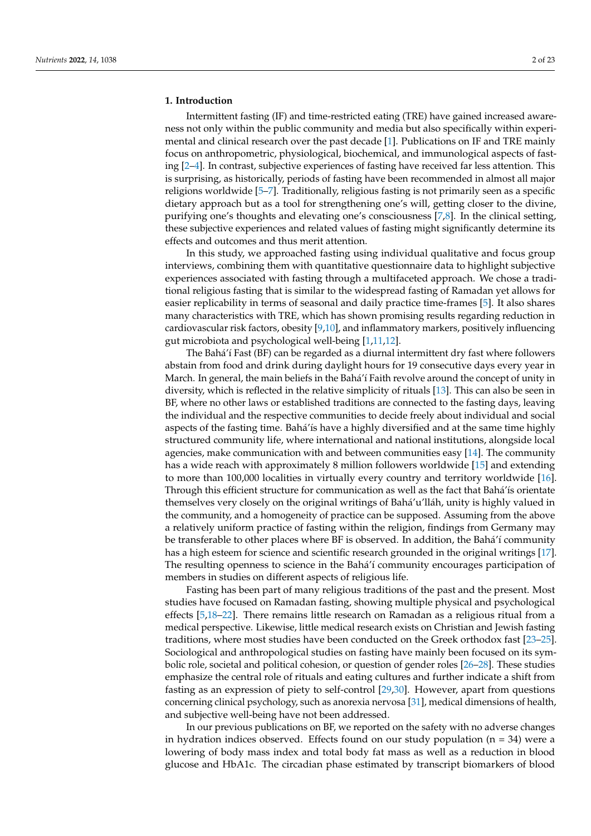# **1. Introduction**

Intermittent fasting (IF) and time-restricted eating (TRE) have gained increased awareness not only within the public community and media but also specifically within experimental and clinical research over the past decade [\[1\]](#page-19-0). Publications on IF and TRE mainly focus on anthropometric, physiological, biochemical, and immunological aspects of fasting [\[2–](#page-19-1)[4\]](#page-19-2). In contrast, subjective experiences of fasting have received far less attention. This is surprising, as historically, periods of fasting have been recommended in almost all major religions worldwide [\[5](#page-19-3)[–7\]](#page-19-4). Traditionally, religious fasting is not primarily seen as a specific dietary approach but as a tool for strengthening one's will, getting closer to the divine, purifying one's thoughts and elevating one's consciousness [\[7,](#page-19-4)[8\]](#page-19-5). In the clinical setting, these subjective experiences and related values of fasting might significantly determine its effects and outcomes and thus merit attention.

In this study, we approached fasting using individual qualitative and focus group interviews, combining them with quantitative questionnaire data to highlight subjective experiences associated with fasting through a multifaceted approach. We chose a traditional religious fasting that is similar to the widespread fasting of Ramadan yet allows for easier replicability in terms of seasonal and daily practice time-frames [\[5\]](#page-19-3). It also shares many characteristics with TRE, which has shown promising results regarding reduction in cardiovascular risk factors, obesity [\[9,](#page-19-6)[10\]](#page-19-7), and inflammatory markers, positively influencing gut microbiota and psychological well-being [\[1](#page-19-0)[,11](#page-19-8)[,12\]](#page-19-9).

The Bahá'í Fast (BF) can be regarded as a diurnal intermittent dry fast where followers abstain from food and drink during daylight hours for 19 consecutive days every year in March. In general, the main beliefs in the Bahá'í Faith revolve around the concept of unity in diversity, which is reflected in the relative simplicity of rituals [\[13\]](#page-20-0). This can also be seen in BF, where no other laws or established traditions are connected to the fasting days, leaving the individual and the respective communities to decide freely about individual and social aspects of the fasting time. Bahá'ís have a highly diversified and at the same time highly structured community life, where international and national institutions, alongside local agencies, make communication with and between communities easy [\[14\]](#page-20-1). The community has a wide reach with approximately 8 million followers worldwide [\[15\]](#page-20-2) and extending to more than 100,000 localities in virtually every country and territory worldwide [\[16\]](#page-20-3). Through this efficient structure for communication as well as the fact that Bahá'ís orientate themselves very closely on the original writings of Bahá'u'lláh, unity is highly valued in the community, and a homogeneity of practice can be supposed. Assuming from the above a relatively uniform practice of fasting within the religion, findings from Germany may be transferable to other places where BF is observed. In addition, the Bahá'í community has a high esteem for science and scientific research grounded in the original writings [\[17\]](#page-20-4). The resulting openness to science in the Bahá'í community encourages participation of members in studies on different aspects of religious life.

Fasting has been part of many religious traditions of the past and the present. Most studies have focused on Ramadan fasting, showing multiple physical and psychological effects [\[5](#page-19-3)[,18–](#page-20-5)[22\]](#page-20-6). There remains little research on Ramadan as a religious ritual from a medical perspective. Likewise, little medical research exists on Christian and Jewish fasting traditions, where most studies have been conducted on the Greek orthodox fast [\[23](#page-20-7)[–25\]](#page-20-8). Sociological and anthropological studies on fasting have mainly been focused on its symbolic role, societal and political cohesion, or question of gender roles [\[26](#page-20-9)[–28\]](#page-20-10). These studies emphasize the central role of rituals and eating cultures and further indicate a shift from fasting as an expression of piety to self-control [\[29](#page-20-11)[,30\]](#page-20-12). However, apart from questions concerning clinical psychology, such as anorexia nervosa [\[31\]](#page-20-13), medical dimensions of health, and subjective well-being have not been addressed.

In our previous publications on BF, we reported on the safety with no adverse changes in hydration indices observed. Effects found on our study population ( $n = 34$ ) were a lowering of body mass index and total body fat mass as well as a reduction in blood glucose and HbA1c. The circadian phase estimated by transcript biomarkers of blood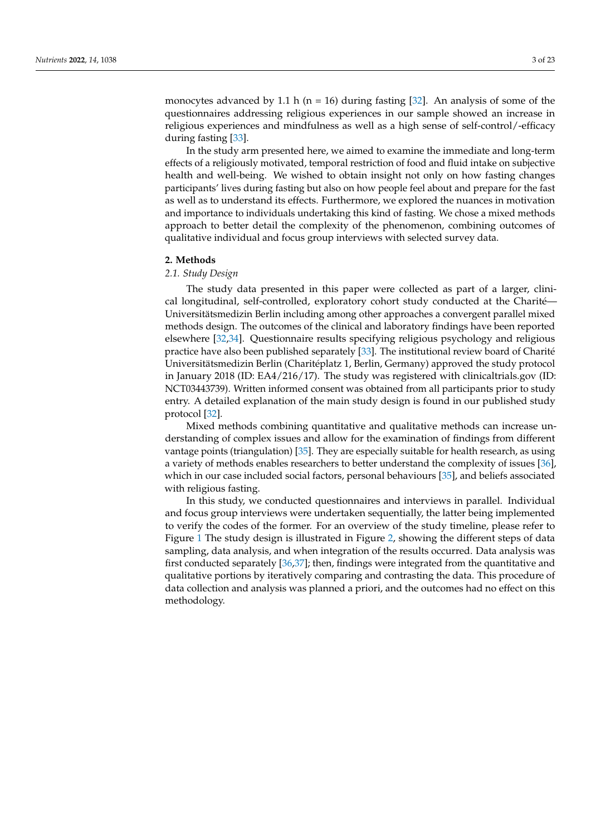monocytes advanced by 1.1 h ( $n = 16$ ) during fasting [\[32\]](#page-20-14). An analysis of some of the questionnaires addressing religious experiences in our sample showed an increase in religious experiences and mindfulness as well as a high sense of self-control/-efficacy during fasting [\[33\]](#page-20-15).

In the study arm presented here, we aimed to examine the immediate and long-term effects of a religiously motivated, temporal restriction of food and fluid intake on subjective health and well-being. We wished to obtain insight not only on how fasting changes participants' lives during fasting but also on how people feel about and prepare for the fast as well as to understand its effects. Furthermore, we explored the nuances in motivation and importance to individuals undertaking this kind of fasting. We chose a mixed methods approach to better detail the complexity of the phenomenon, combining outcomes of qualitative individual and focus group interviews with selected survey data.

#### **2. Methods**

#### *2.1. Study Design*

The study data presented in this paper were collected as part of a larger, clinical longitudinal, self-controlled, exploratory cohort study conducted at the Charité— Universitätsmedizin Berlin including among other approaches a convergent parallel mixed methods design. The outcomes of the clinical and laboratory findings have been reported elsewhere [\[32,](#page-20-14)[34\]](#page-20-16). Questionnaire results specifying religious psychology and religious practice have also been published separately [\[33\]](#page-20-15). The institutional review board of Charité Universitätsmedizin Berlin (Charitéplatz 1, Berlin, Germany) approved the study protocol in January 2018 (ID: EA4/216/17). The study was registered with clinicaltrials.gov (ID: NCT03443739). Written informed consent was obtained from all participants prior to study entry. A detailed explanation of the main study design is found in our published study protocol [\[32\]](#page-20-14).

Mixed methods combining quantitative and qualitative methods can increase understanding of complex issues and allow for the examination of findings from different vantage points (triangulation) [\[35\]](#page-20-17). They are especially suitable for health research, as using a variety of methods enables researchers to better understand the complexity of issues [\[36\]](#page-20-18), which in our case included social factors, personal behaviours [\[35\]](#page-20-17), and beliefs associated with religious fasting.

In this study, we conducted questionnaires and interviews in parallel. Individual and focus group interviews were undertaken sequentially, the latter being implemented to verify the codes of the former. For an overview of the study timeline, please refer to Figure [1](#page-3-0) The study design is illustrated in Figure [2,](#page-3-1) showing the different steps of data sampling, data analysis, and when integration of the results occurred. Data analysis was first conducted separately [\[36](#page-20-18)[,37\]](#page-20-19); then, findings were integrated from the quantitative and qualitative portions by iteratively comparing and contrasting the data. This procedure of data collection and analysis was planned a priori, and the outcomes had no effect on this methodology.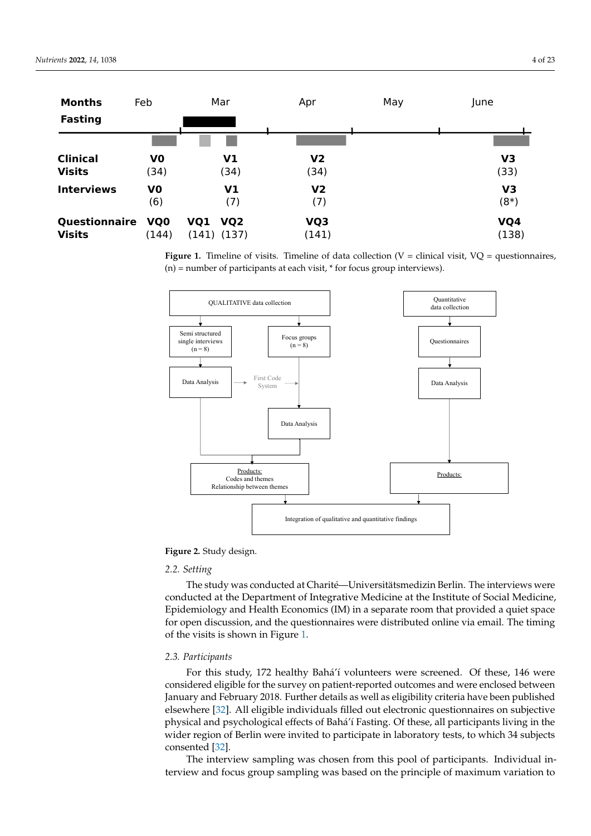<span id="page-3-0"></span>

| <b>Months</b><br><b>Fasting</b> | Feb                      | Mar                               | Apr                   | May |                          |  |
|---------------------------------|--------------------------|-----------------------------------|-----------------------|-----|--------------------------|--|
| <b>Clinical</b>                 | V <sub>0</sub>           | V1                                | V <sub>2</sub>        |     | V <sub>3</sub>           |  |
| <b>Visits</b>                   | (34)                     | (34)                              | (34)                  |     | (33)                     |  |
| <b>Interviews</b>               | V <sub>0</sub><br>(6)    | V1<br>(7)                         | V <sub>2</sub><br>(7) |     | V <sub>3</sub><br>$(8*)$ |  |
| Questionnaire<br><b>Visits</b>  | VQ <sub>0</sub><br>(144) | <b>VQ1 VQ2</b><br>$(141)$ $(137)$ | VQ3<br>(141)          |     | VQ4<br>(138)             |  |

**Figure 1.** Timeline of visits. Timeline of data collection (V = clinical visit, VQ = questionnaires, (n) = number of participants at each visit, \* for focus group interviews).

<span id="page-3-1"></span>

**Figure 2.** Study design. **Figure 2.** Study design.

# *2.2. Setting*

*2.2. Setting* The study was conducted at Charité—Universitätsmedizin Berlin. The interviews were conducted at the Department of Integrative Medicine at the Institute of Social Medicine, Epidemiology and Health Economics (IM) in a separate room that provided a quiet space for open discussion, and the questionnaires were distributed online via email. The timing of the visits is shown in Figure [1.](#page-3-0)  $T_{\rm eff}$  the visits is shown in Figure 1.

# *2.3. Participants*

For this study, 172 healthy Bahá'í volunteers were screened. Of these, 146 were considered eligible for the survey on patient-reported outcomes and were enclosed between January and February 2018. Further details as well as eligibility criteria have been published elsewhere [\[32\]](#page-20-14). All eligible individuals filled out electronic questionnaires on subjective physical and psychological effects of Bahá'í Fasting. Of these, all participants living in the wider region of Berlin were invited to participate in laboratory tests, to which 34 subjects  $\epsilon$  consented [\[32\]](#page-20-14).

The interview sampling was chosen from this pool of participants. Individual interview and focus group sampling was based on the principle of maximum variation to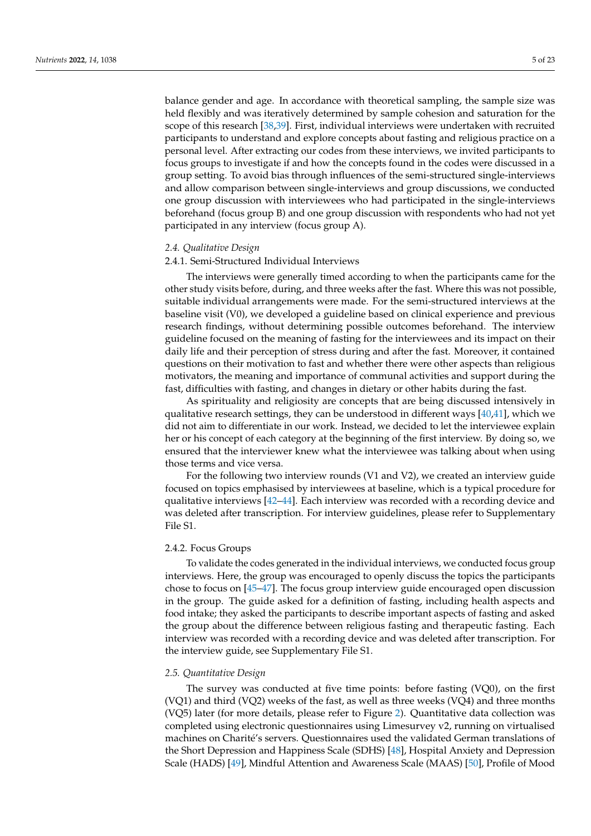balance gender and age. In accordance with theoretical sampling, the sample size was held flexibly and was iteratively determined by sample cohesion and saturation for the scope of this research [\[38](#page-20-20)[,39\]](#page-20-21). First, individual interviews were undertaken with recruited participants to understand and explore concepts about fasting and religious practice on a personal level. After extracting our codes from these interviews, we invited participants to focus groups to investigate if and how the concepts found in the codes were discussed in a group setting. To avoid bias through influences of the semi-structured single-interviews and allow comparison between single-interviews and group discussions, we conducted one group discussion with interviewees who had participated in the single-interviews beforehand (focus group B) and one group discussion with respondents who had not yet participated in any interview (focus group A).

#### *2.4. Qualitative Design*

#### 2.4.1. Semi-Structured Individual Interviews

The interviews were generally timed according to when the participants came for the other study visits before, during, and three weeks after the fast. Where this was not possible, suitable individual arrangements were made. For the semi-structured interviews at the baseline visit (V0), we developed a guideline based on clinical experience and previous research findings, without determining possible outcomes beforehand. The interview guideline focused on the meaning of fasting for the interviewees and its impact on their daily life and their perception of stress during and after the fast. Moreover, it contained questions on their motivation to fast and whether there were other aspects than religious motivators, the meaning and importance of communal activities and support during the fast, difficulties with fasting, and changes in dietary or other habits during the fast.

As spirituality and religiosity are concepts that are being discussed intensively in qualitative research settings, they can be understood in different ways  $[40,41]$  $[40,41]$ , which we did not aim to differentiate in our work. Instead, we decided to let the interviewee explain her or his concept of each category at the beginning of the first interview. By doing so, we ensured that the interviewer knew what the interviewee was talking about when using those terms and vice versa.

For the following two interview rounds (V1 and V2), we created an interview guide focused on topics emphasised by interviewees at baseline, which is a typical procedure for qualitative interviews  $[42-44]$  $[42-44]$ . Each interview was recorded with a recording device and was deleted after transcription. For interview guidelines, please refer to Supplementary File S1.

#### 2.4.2. Focus Groups

To validate the codes generated in the individual interviews, we conducted focus group interviews. Here, the group was encouraged to openly discuss the topics the participants chose to focus on [\[45–](#page-21-1)[47\]](#page-21-2). The focus group interview guide encouraged open discussion in the group. The guide asked for a definition of fasting, including health aspects and food intake; they asked the participants to describe important aspects of fasting and asked the group about the difference between religious fasting and therapeutic fasting. Each interview was recorded with a recording device and was deleted after transcription. For the interview guide, see Supplementary File S1.

#### *2.5. Quantitative Design*

The survey was conducted at five time points: before fasting (VQ0), on the first (VQ1) and third (VQ2) weeks of the fast, as well as three weeks (VQ4) and three months (VQ5) later (for more details, please refer to Figure [2\)](#page-3-1). Quantitative data collection was completed using electronic questionnaires using Limesurvey v2, running on virtualised machines on Charité's servers. Questionnaires used the validated German translations of the Short Depression and Happiness Scale (SDHS) [\[48\]](#page-21-3), Hospital Anxiety and Depression Scale (HADS) [\[49\]](#page-21-4), Mindful Attention and Awareness Scale (MAAS) [\[50\]](#page-21-5), Profile of Mood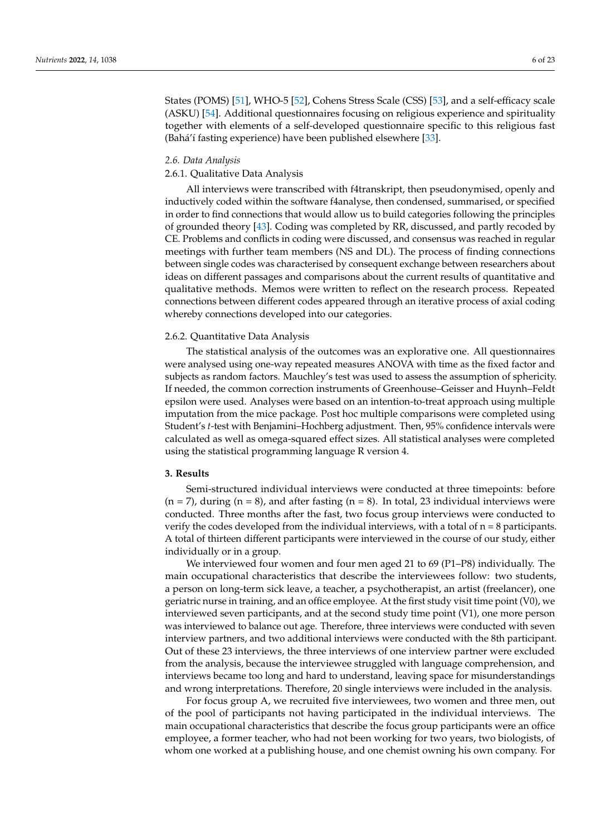States (POMS) [\[51\]](#page-21-6), WHO-5 [\[52\]](#page-21-7), Cohens Stress Scale (CSS) [\[53\]](#page-21-8), and a self-efficacy scale (ASKU) [\[54\]](#page-21-9). Additional questionnaires focusing on religious experience and spirituality together with elements of a self-developed questionnaire specific to this religious fast (Bahá'í fasting experience) have been published elsewhere [\[33\]](#page-20-15).

#### *2.6. Data Analysis*

# 2.6.1. Qualitative Data Analysis

All interviews were transcribed with f4transkript, then pseudonymised, openly and inductively coded within the software f4analyse, then condensed, summarised, or specified in order to find connections that would allow us to build categories following the principles of grounded theory [\[43\]](#page-21-10). Coding was completed by RR, discussed, and partly recoded by CE. Problems and conflicts in coding were discussed, and consensus was reached in regular meetings with further team members (NS and DL). The process of finding connections between single codes was characterised by consequent exchange between researchers about ideas on different passages and comparisons about the current results of quantitative and qualitative methods. Memos were written to reflect on the research process. Repeated connections between different codes appeared through an iterative process of axial coding whereby connections developed into our categories.

#### 2.6.2. Quantitative Data Analysis

The statistical analysis of the outcomes was an explorative one. All questionnaires were analysed using one-way repeated measures ANOVA with time as the fixed factor and subjects as random factors. Mauchley's test was used to assess the assumption of sphericity. If needed, the common correction instruments of Greenhouse–Geisser and Huynh–Feldt epsilon were used. Analyses were based on an intention-to-treat approach using multiple imputation from the mice package. Post hoc multiple comparisons were completed using Student's *t*-test with Benjamini–Hochberg adjustment. Then, 95% confidence intervals were calculated as well as omega-squared effect sizes. All statistical analyses were completed using the statistical programming language R version 4.

# **3. Results**

Semi-structured individual interviews were conducted at three timepoints: before  $(n = 7)$ , during  $(n = 8)$ , and after fasting  $(n = 8)$ . In total, 23 individual interviews were conducted. Three months after the fast, two focus group interviews were conducted to verify the codes developed from the individual interviews, with a total of  $n = 8$  participants. A total of thirteen different participants were interviewed in the course of our study, either individually or in a group.

We interviewed four women and four men aged 21 to 69 (P1–P8) individually. The main occupational characteristics that describe the interviewees follow: two students, a person on long-term sick leave, a teacher, a psychotherapist, an artist (freelancer), one geriatric nurse in training, and an office employee. At the first study visit time point (V0), we interviewed seven participants, and at the second study time point (V1), one more person was interviewed to balance out age. Therefore, three interviews were conducted with seven interview partners, and two additional interviews were conducted with the 8th participant. Out of these 23 interviews, the three interviews of one interview partner were excluded from the analysis, because the interviewee struggled with language comprehension, and interviews became too long and hard to understand, leaving space for misunderstandings and wrong interpretations. Therefore, 20 single interviews were included in the analysis.

For focus group A, we recruited five interviewees, two women and three men, out of the pool of participants not having participated in the individual interviews. The main occupational characteristics that describe the focus group participants were an office employee, a former teacher, who had not been working for two years, two biologists, of whom one worked at a publishing house, and one chemist owning his own company. For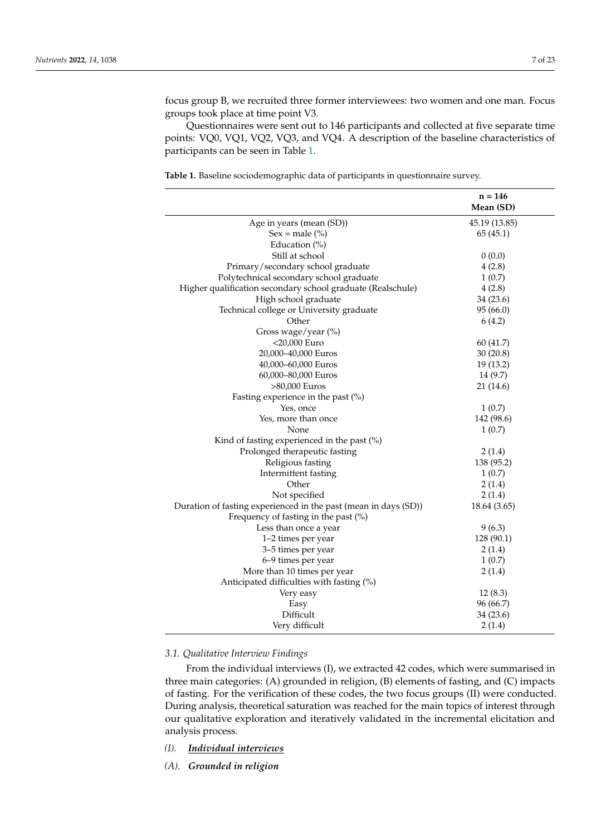focus group B, we recruited three former interviewees: two women and one man. Focus groups took place at time point V3.

Questionnaires were sent out to 146 participants and collected at five separate time points: VQ0, VQ1, VQ2, VQ3, and VQ4. A description of the baseline characteristics of participants can be seen in Table [1.](#page-6-0)

<span id="page-6-0"></span>**Table 1.** Baseline sociodemographic data of participants in questionnaire survey.

|                                                                 | $n = 146$<br>Mean (SD) |  |
|-----------------------------------------------------------------|------------------------|--|
| Age in years (mean (SD))                                        | 45.19 (13.85)          |  |
| $Sex = male (%)$                                                | 65(45.1)               |  |
| Education $(\%)$                                                |                        |  |
| Still at school                                                 | 0(0.0)                 |  |
| Primary/secondary school graduate                               | 4(2.8)                 |  |
| Polytechnical secondary school graduate                         | 1(0.7)                 |  |
| Higher qualification secondary school graduate (Realschule)     | 4(2.8)                 |  |
| High school graduate                                            | 34 (23.6)              |  |
| Technical college or University graduate                        | 95 (66.0)              |  |
| Other                                                           | 6(4.2)                 |  |
| Gross wage/year (%)                                             |                        |  |
| <20,000 Euro                                                    | 60(41.7)               |  |
| 20,000-40,000 Euros                                             | 30(20.8)               |  |
| 40,000-60,000 Euros                                             | 19 (13.2)              |  |
| 60,000-80,000 Euros                                             | 14 (9.7)               |  |
| >80,000 Euros                                                   | 21 (14.6)              |  |
| Fasting experience in the past $(\%)$                           |                        |  |
| Yes, once                                                       | 1(0.7)                 |  |
| Yes, more than once                                             | 142 (98.6)             |  |
| None                                                            | 1(0.7)                 |  |
| Kind of fasting experienced in the past $(\%)$                  |                        |  |
| Prolonged therapeutic fasting                                   | 2(1.4)                 |  |
| Religious fasting                                               | 138 (95.2)             |  |
| Intermittent fasting                                            | 1(0.7)                 |  |
| Other                                                           | 2(1.4)                 |  |
| Not specified                                                   | 2(1.4)                 |  |
| Duration of fasting experienced in the past (mean in days (SD)) | 18.64 (3.65)           |  |
| Frequency of fasting in the past $(\%)$                         |                        |  |
| Less than once a year                                           | 9(6.3)                 |  |
| 1-2 times per year                                              | 128 (90.1)             |  |
| 3-5 times per year                                              | 2(1.4)                 |  |
| 6-9 times per year                                              | 1(0.7)                 |  |
| More than 10 times per year                                     | 2(1.4)                 |  |
| Anticipated difficulties with fasting (%)                       |                        |  |
| Very easy                                                       | 12(8.3)                |  |
| Easy                                                            | 96 (66.7)              |  |
| Difficult                                                       | 34 (23.6)              |  |
| Very difficult                                                  | 2(1.4)                 |  |
|                                                                 |                        |  |

#### *3.1. Qualitative Interview Findings*

From the individual interviews (I), we extracted 42 codes, which were summarised in three main categories: (A) grounded in religion, (B) elements of fasting, and (C) impacts of fasting. For the verification of these codes, the two focus groups (II) were conducted. During analysis, theoretical saturation was reached for the main topics of interest through our qualitative exploration and iteratively validated in the incremental elicitation and analysis process.

- *(I). Individual interviews*
- *(A). Grounded in religion*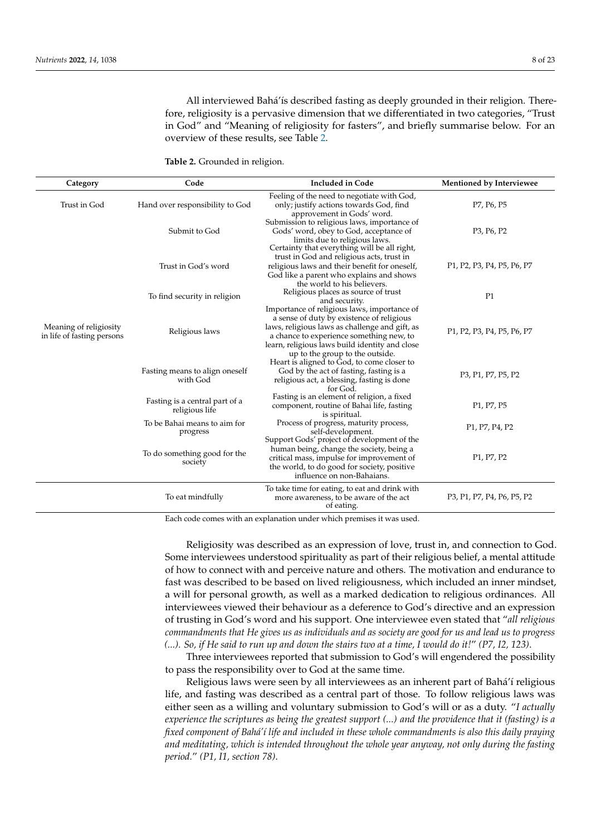All interviewed Bahá'ís described fasting as deeply grounded in their religion. Therefore, religiosity is a pervasive dimension that we differentiated in two categories, "Trust in God" and "Meaning of religiosity for fasters", and briefly summarise below. For an overview of these results, see Table [2.](#page-7-0)

<span id="page-7-0"></span>**Table 2.** Grounded in religion.

| Category                                             | Code                                             | <b>Included in Code</b>                                                                                                                                                                                               | Mentioned by Interviewee                                                                                             |
|------------------------------------------------------|--------------------------------------------------|-----------------------------------------------------------------------------------------------------------------------------------------------------------------------------------------------------------------------|----------------------------------------------------------------------------------------------------------------------|
| Trust in God                                         | Hand over responsibility to God                  | Feeling of the need to negotiate with God,<br>only; justify actions towards God, find<br>approvement in Gods' word.                                                                                                   | P7, P6, P5                                                                                                           |
|                                                      | Submit to God                                    | Submission to religious laws, importance of<br>Gods' word, obey to God, acceptance of<br>limits due to religious laws.                                                                                                | P <sub>3</sub> , P <sub>6</sub> , P <sub>2</sub>                                                                     |
|                                                      | Trust in God's word                              | Certainty that everything will be all right,<br>trust in God and religious acts, trust in<br>religious laws and their benefit for oneself,<br>God like a parent who explains and shows<br>the world to his believers. | P <sub>1</sub> , P <sub>2</sub> , P <sub>3</sub> , P <sub>4</sub> , P <sub>5</sub> , P <sub>6</sub> , P <sub>7</sub> |
|                                                      | To find security in religion                     | Religious places as source of trust<br>and security.<br>Importance of religious laws, importance of                                                                                                                   | P1                                                                                                                   |
| Meaning of religiosity<br>in life of fasting persons | Religious laws                                   | a sense of duty by existence of religious<br>laws, religious laws as challenge and gift, as<br>a chance to experience something new, to<br>learn, religious laws build identity and close                             | P1, P2, P3, P4, P5, P6, P7                                                                                           |
|                                                      | Fasting means to align oneself<br>with God       | up to the group to the outside.<br>Heart is aligned to God, to come closer to<br>God by the act of fasting, fasting is a<br>religious act, a blessing, fasting is done<br>for God.                                    | P3, P1, P7, P5, P2                                                                                                   |
|                                                      | Fasting is a central part of a<br>religious life | Fasting is an element of religion, a fixed<br>component, routine of Bahai life, fasting<br>is spiritual.                                                                                                              | P <sub>1</sub> , P <sub>7</sub> , P <sub>5</sub>                                                                     |
|                                                      | To be Bahai means to aim for<br>progress         | Process of progress, maturity process,<br>self-development.<br>Support Gods' project of development of the                                                                                                            | P <sub>1</sub> , P <sub>7</sub> , P <sub>4</sub> , P <sub>2</sub>                                                    |
|                                                      | To do something good for the<br>society          | human being, change the society, being a<br>critical mass, impulse for improvement of<br>the world, to do good for society, positive<br>influence on non-Bahaians.                                                    | P <sub>1</sub> , P <sub>7</sub> , P <sub>2</sub>                                                                     |
|                                                      | To eat mindfully                                 | To take time for eating, to eat and drink with<br>more awareness, to be aware of the act<br>of eating.                                                                                                                | P3, P1, P7, P4, P6, P5, P2                                                                                           |

Each code comes with an explanation under which premises it was used.

Religiosity was described as an expression of love, trust in, and connection to God. Some interviewees understood spirituality as part of their religious belief, a mental attitude of how to connect with and perceive nature and others. The motivation and endurance to fast was described to be based on lived religiousness, which included an inner mindset, a will for personal growth, as well as a marked dedication to religious ordinances. All interviewees viewed their behaviour as a deference to God's directive and an expression of trusting in God's word and his support. One interviewee even stated that "*all religious commandments that He gives us as individuals and as society are good for us and lead us to progress (...). So, if He said to run up and down the stairs two at a time, I would do it!*" *(P7, I2, 123)*.

Three interviewees reported that submission to God's will engendered the possibility to pass the responsibility over to God at the same time.

Religious laws were seen by all interviewees as an inherent part of Bahá'í religious life, and fasting was described as a central part of those. To follow religious laws was either seen as a willing and voluntary submission to God's will or as a duty. "*I actually experience the scriptures as being the greatest support (...) and the providence that it (fasting) is a fixed component of Bahá'í life and included in these whole commandments is also this daily praying and meditating, which is intended throughout the whole year anyway, not only during the fasting period.*" *(P1, I1, section 78)*.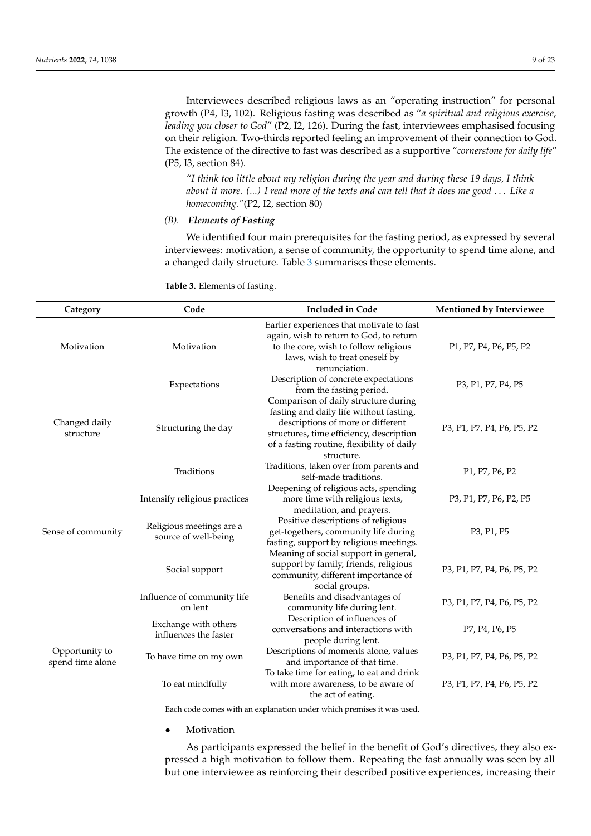Interviewees described religious laws as an "operating instruction" for personal growth (P4, I3, 102). Religious fasting was described as "*a spiritual and religious exercise, leading you closer to God*" (P2, I2, 126). During the fast, interviewees emphasised focusing on their religion. Two-thirds reported feeling an improvement of their connection to God. The existence of the directive to fast was described as a supportive "*cornerstone for daily life*" (P5, I3, section 84).

*"I think too little about my religion during the year and during these 19 days, I think about it more. (...) I read more of the texts and can tell that it does me good* . . . *Like a homecoming."*(P2, I2, section 80)

# *(B). Elements of Fasting*

We identified four main prerequisites for the fasting period, as expressed by several interviewees: motivation, a sense of community, the opportunity to spend time alone, and a changed daily structure. Table [3](#page-8-0) summarises these elements.

<span id="page-8-0"></span>**Table 3.** Elements of fasting.

| Category                           | Code                                             | <b>Included in Code</b>                                                                                                                                                                                                      | Mentioned by Interviewee                                                                                             |
|------------------------------------|--------------------------------------------------|------------------------------------------------------------------------------------------------------------------------------------------------------------------------------------------------------------------------------|----------------------------------------------------------------------------------------------------------------------|
| Motivation                         | Motivation                                       | Earlier experiences that motivate to fast<br>again, wish to return to God, to return<br>to the core, wish to follow religious<br>laws, wish to treat oneself by<br>renunciation.                                             | P1, P7, P4, P6, P5, P2                                                                                               |
|                                    | Expectations                                     | Description of concrete expectations<br>from the fasting period.                                                                                                                                                             | P3, P1, P7, P4, P5                                                                                                   |
| Changed daily<br>structure         | Structuring the day                              | Comparison of daily structure during<br>fasting and daily life without fasting,<br>descriptions of more or different<br>structures, time efficiency, description<br>of a fasting routine, flexibility of daily<br>structure. | P <sub>3</sub> , P <sub>1</sub> , P <sub>7</sub> , P <sub>4</sub> , P <sub>6</sub> , P <sub>5</sub> , P <sub>2</sub> |
|                                    | Traditions                                       | Traditions, taken over from parents and<br>self-made traditions.                                                                                                                                                             | P <sub>1</sub> , P <sub>7</sub> , P <sub>6</sub> , P <sub>2</sub>                                                    |
|                                    | Intensify religious practices                    | Deepening of religious acts, spending<br>more time with religious texts,                                                                                                                                                     | P3, P1, P7, P6, P2, P5                                                                                               |
| Sense of community                 | Religious meetings are a<br>source of well-being | meditation, and prayers.<br>Positive descriptions of religious<br>get-togethers, community life during<br>fasting, support by religious meetings.                                                                            | P3, P1, P5                                                                                                           |
|                                    | Social support                                   | Meaning of social support in general,<br>support by family, friends, religious<br>community, different importance of<br>social groups.                                                                                       | P3, P1, P7, P4, P6, P5, P2                                                                                           |
|                                    | Influence of community life<br>on lent           | Benefits and disadvantages of<br>community life during lent.                                                                                                                                                                 | P3, P1, P7, P4, P6, P5, P2                                                                                           |
|                                    | Exchange with others<br>influences the faster    | Description of influences of<br>conversations and interactions with<br>people during lent.                                                                                                                                   | P7, P4, P6, P5                                                                                                       |
| Opportunity to<br>spend time alone | To have time on my own                           | Descriptions of moments alone, values<br>and importance of that time.                                                                                                                                                        | P3, P1, P7, P4, P6, P5, P2                                                                                           |
|                                    | To eat mindfully                                 | To take time for eating, to eat and drink<br>with more awareness, to be aware of<br>the act of eating.                                                                                                                       | P3, P1, P7, P4, P6, P5, P2                                                                                           |

Each code comes with an explanation under which premises it was used.

#### **Motivation**

As participants expressed the belief in the benefit of God's directives, they also expressed a high motivation to follow them. Repeating the fast annually was seen by all but one interviewee as reinforcing their described positive experiences, increasing their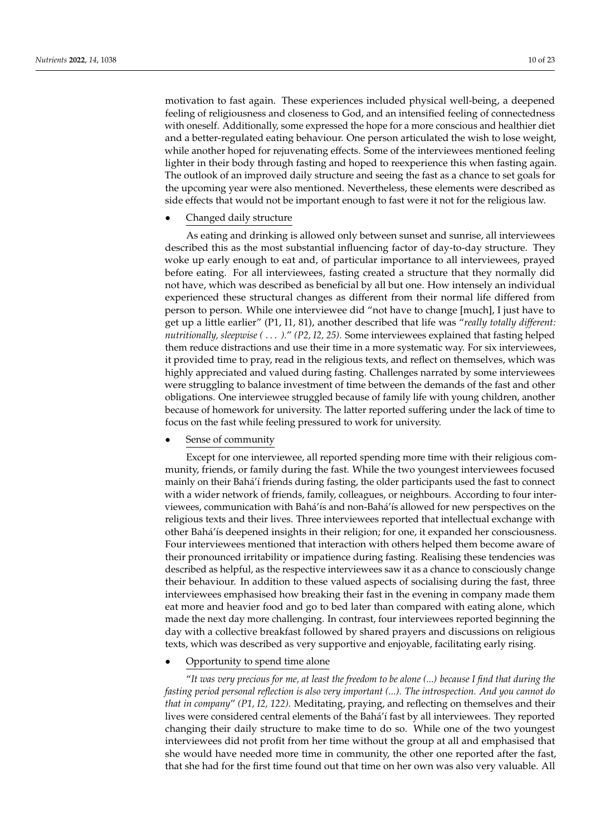motivation to fast again. These experiences included physical well-being, a deepened feeling of religiousness and closeness to God, and an intensified feeling of connectedness with oneself. Additionally, some expressed the hope for a more conscious and healthier diet and a better-regulated eating behaviour. One person articulated the wish to lose weight, while another hoped for rejuvenating effects. Some of the interviewees mentioned feeling lighter in their body through fasting and hoped to reexperience this when fasting again. The outlook of an improved daily structure and seeing the fast as a chance to set goals for the upcoming year were also mentioned. Nevertheless, these elements were described as side effects that would not be important enough to fast were it not for the religious law.

#### • Changed daily structure

As eating and drinking is allowed only between sunset and sunrise, all interviewees described this as the most substantial influencing factor of day-to-day structure. They woke up early enough to eat and, of particular importance to all interviewees, prayed before eating. For all interviewees, fasting created a structure that they normally did not have, which was described as beneficial by all but one. How intensely an individual experienced these structural changes as different from their normal life differed from person to person. While one interviewee did "not have to change [much], I just have to get up a little earlier" (P1, I1, 81), another described that life was "*really totally different: nutritionally, sleepwise (* . . . *).*" *(P2, I2, 25).* Some interviewees explained that fasting helped them reduce distractions and use their time in a more systematic way. For six interviewees, it provided time to pray, read in the religious texts, and reflect on themselves, which was highly appreciated and valued during fasting. Challenges narrated by some interviewees were struggling to balance investment of time between the demands of the fast and other obligations. One interviewee struggled because of family life with young children, another because of homework for university. The latter reported suffering under the lack of time to focus on the fast while feeling pressured to work for university.

# Sense of community

Except for one interviewee, all reported spending more time with their religious community, friends, or family during the fast. While the two youngest interviewees focused mainly on their Bahá'í friends during fasting, the older participants used the fast to connect with a wider network of friends, family, colleagues, or neighbours. According to four interviewees, communication with Bahá'ís and non-Bahá'ís allowed for new perspectives on the religious texts and their lives. Three interviewees reported that intellectual exchange with other Bahá'ís deepened insights in their religion; for one, it expanded her consciousness. Four interviewees mentioned that interaction with others helped them become aware of their pronounced irritability or impatience during fasting. Realising these tendencies was described as helpful, as the respective interviewees saw it as a chance to consciously change their behaviour. In addition to these valued aspects of socialising during the fast, three interviewees emphasised how breaking their fast in the evening in company made them eat more and heavier food and go to bed later than compared with eating alone, which made the next day more challenging. In contrast, four interviewees reported beginning the day with a collective breakfast followed by shared prayers and discussions on religious texts, which was described as very supportive and enjoyable, facilitating early rising.

# • Opportunity to spend time alone

"*It was very precious for me, at least the freedom to be alone (...) because I find that during the fasting period personal reflection is also very important (...). The introspection. And you cannot do that in company*" *(P1, I2, 122).* Meditating, praying, and reflecting on themselves and their lives were considered central elements of the Bahá'í fast by all interviewees. They reported changing their daily structure to make time to do so. While one of the two youngest interviewees did not profit from her time without the group at all and emphasised that she would have needed more time in community, the other one reported after the fast, that she had for the first time found out that time on her own was also very valuable. All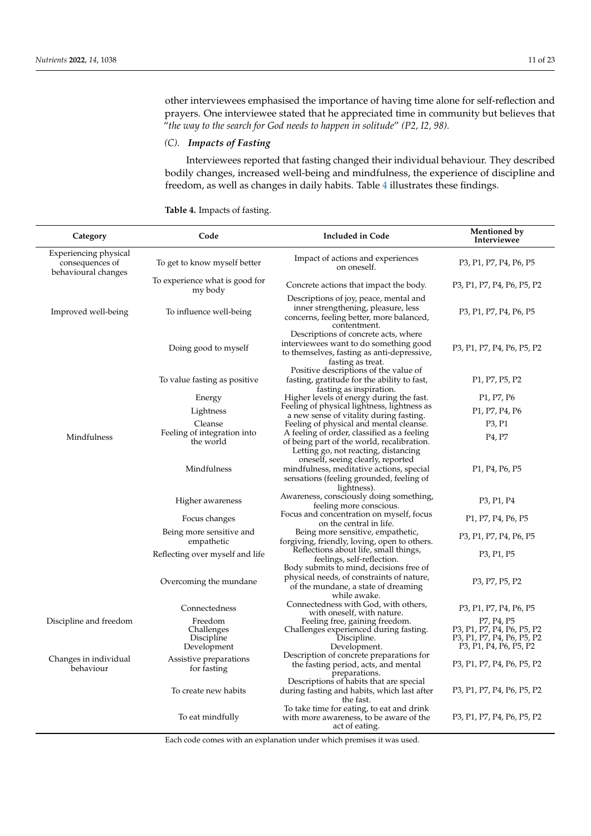other interviewees emphasised the importance of having time alone for self-reflection and prayers. One interviewee stated that he appreciated time in community but believes that "*the way to the search for God needs to happen in solitude*" *(P2, I2, 98).*

# *(C). Impacts of Fasting*

Interviewees reported that fasting changed their individual behaviour. They described bodily changes, increased well-being and mindfulness, the experience of discipline and freedom, as well as changes in daily habits. Table [4](#page-10-0) illustrates these findings.

| Category                                          | Code                           | Included in Code                                 | Mentioned by<br>Interviewee |  |
|---------------------------------------------------|--------------------------------|--------------------------------------------------|-----------------------------|--|
| encing physical<br>sequences of<br>ioural changes | To get to know myself better   | Impact of actions and experiences<br>on oneself. | P3, P1, P7, P4, P6,         |  |
|                                                   | To experience what is good for | $\sigma$ , and $\sigma$                          | D2. D1. D7. D4. D7. F       |  |

<span id="page-10-0"></span>

| Table 4. Impacts of fasting. |
|------------------------------|
|------------------------------|

| $\epsilon$ <sub>4</sub> $\epsilon$ <sub>5</sub> $\epsilon$ <sub>1</sub> | couc                                               |                                                                                                                                                                                  | Interviewee                                                                                                                                                                   |
|-------------------------------------------------------------------------|----------------------------------------------------|----------------------------------------------------------------------------------------------------------------------------------------------------------------------------------|-------------------------------------------------------------------------------------------------------------------------------------------------------------------------------|
| Experiencing physical<br>consequences of<br>behavioural changes         | To get to know myself better                       | Impact of actions and experiences<br>on oneself.                                                                                                                                 | P3, P1, P7, P4, P6, P5                                                                                                                                                        |
|                                                                         | To experience what is good for<br>my body          | Concrete actions that impact the body.                                                                                                                                           | P3, P1, P7, P4, P6, P5, P2                                                                                                                                                    |
| Improved well-being                                                     | To influence well-being                            | Descriptions of joy, peace, mental and<br>inner strengthening, pleasure, less<br>concerns, feeling better, more balanced,<br>contentment.                                        | P3, P1, P7, P4, P6, P5                                                                                                                                                        |
|                                                                         | Doing good to myself                               | Descriptions of concrete acts, where<br>interviewees want to do something good<br>to themselves, fasting as anti-depressive,<br>fasting as treat.                                | P3, P1, P7, P4, P6, P5, P2                                                                                                                                                    |
|                                                                         | To value fasting as positive                       | Positive descriptions of the value of<br>fasting, gratitude for the ability to fast,<br>fasting as inspiration.                                                                  | P <sub>1</sub> , P <sub>7</sub> , P <sub>5</sub> , P <sub>2</sub>                                                                                                             |
|                                                                         | Energy                                             | Higher levels of energy during the fast.                                                                                                                                         | P <sub>1</sub> , P <sub>7</sub> , P <sub>6</sub>                                                                                                                              |
|                                                                         |                                                    | Feeling of physical lightness, lightness as                                                                                                                                      | P <sub>1</sub> , P <sub>7</sub> , P <sub>4</sub> , P <sub>6</sub>                                                                                                             |
|                                                                         | Lightness                                          | a new sense of vitality during fasting.                                                                                                                                          |                                                                                                                                                                               |
|                                                                         | Cleanse<br>Feeling of integration into             | Feeling of physical and mental cleanse.                                                                                                                                          | P3, P1                                                                                                                                                                        |
| Mindfulness                                                             | the world                                          | A feeling of order, classified as a feeling<br>of being part of the world, recalibration.                                                                                        | P <sub>4</sub> , P <sub>7</sub>                                                                                                                                               |
|                                                                         | Mindfulness                                        | Letting go, not reacting, distancing<br>oneself, seeing clearly, reported<br>mindfulness, meditative actions, special<br>sensations (feeling grounded, feeling of<br>lightness). | P <sub>1</sub> , P <sub>4</sub> , P <sub>6</sub> , P <sub>5</sub>                                                                                                             |
|                                                                         | Higher awareness                                   | Awareness, consciously doing something,<br>feeling more conscious.                                                                                                               | P3, P1, P4                                                                                                                                                                    |
|                                                                         | Focus changes                                      | Focus and concentration on myself, focus<br>on the central in life.                                                                                                              | P <sub>1</sub> , P <sub>7</sub> , P <sub>4</sub> , P <sub>6</sub> , P <sub>5</sub>                                                                                            |
|                                                                         | Being more sensitive and<br>empathetic             | Being more sensitive, empathetic,<br>forgiving, friendly, loving, open to others.                                                                                                | P3, P1, P7, P4, P6, P5                                                                                                                                                        |
|                                                                         | Reflecting over myself and life                    | Reflections about life, small things,<br>feelings, self-reflection.                                                                                                              | P3, P1, P5                                                                                                                                                                    |
|                                                                         | Overcoming the mundane                             | Body submits to mind, decisions free of<br>physical needs, of constraints of nature,<br>of the mundane, a state of dreaming<br>while awake.                                      | P3, P7, P5, P2                                                                                                                                                                |
|                                                                         | Connectedness                                      | Connectedness with God, with others,<br>with oneself, with nature.                                                                                                               | P3, P1, P7, P4, P6, P5                                                                                                                                                        |
| Discipline and freedom                                                  | Freedom<br>Challenges<br>Discipline<br>Development | Feeling free, gaining freedom.<br>Challenges experienced during fasting.<br>Discipline.<br>Development.                                                                          | P7, P4, P5<br>P3, P1, P7, P4, P6, P5, P2<br>P3, P1, P7, P4, P6, P5, P2<br>P <sub>3</sub> , P <sub>1</sub> , P <sub>4</sub> , P <sub>6</sub> , P <sub>5</sub> , P <sub>2</sub> |
| Changes in individual<br>behaviour                                      | Assistive preparations<br>for fasting              | Description of concrete preparations for<br>the fasting period, acts, and mental<br>preparations.                                                                                | P <sub>3</sub> , P <sub>1</sub> , P <sub>7</sub> , P <sub>4</sub> , P <sub>6</sub> , P <sub>5</sub> , P <sub>2</sub>                                                          |
|                                                                         | To create new habits                               | Descriptions of habits that are special<br>during fasting and habits, which last after<br>the fast.                                                                              | P3, P1, P7, P4, P6, P5, P2                                                                                                                                                    |
|                                                                         | To eat mindfully                                   | To take time for eating, to eat and drink<br>with more awareness, to be aware of the<br>act of eating.                                                                           | P3, P1, P7, P4, P6, P5, P2                                                                                                                                                    |

Each code comes with an explanation under which premises it was used.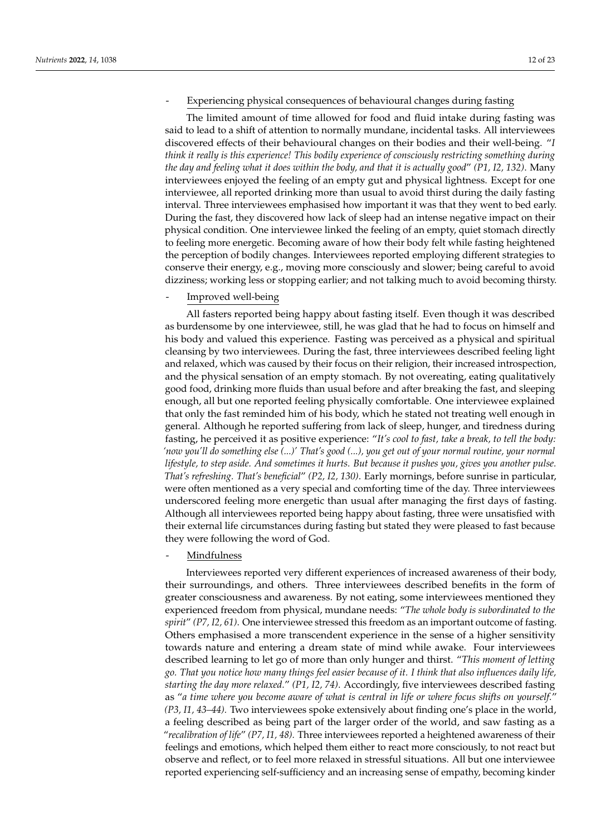#### Experiencing physical consequences of behavioural changes during fasting

The limited amount of time allowed for food and fluid intake during fasting was said to lead to a shift of attention to normally mundane, incidental tasks. All interviewees discovered effects of their behavioural changes on their bodies and their well-being. "*I think it really is this experience! This bodily experience of consciously restricting something during the day and feeling what it does within the body, and that it is actually good*" *(P1, I2, 132)*. Many interviewees enjoyed the feeling of an empty gut and physical lightness. Except for one interviewee, all reported drinking more than usual to avoid thirst during the daily fasting interval. Three interviewees emphasised how important it was that they went to bed early. During the fast, they discovered how lack of sleep had an intense negative impact on their physical condition. One interviewee linked the feeling of an empty, quiet stomach directly to feeling more energetic. Becoming aware of how their body felt while fasting heightened the perception of bodily changes. Interviewees reported employing different strategies to conserve their energy, e.g., moving more consciously and slower; being careful to avoid dizziness; working less or stopping earlier; and not talking much to avoid becoming thirsty.

# - Improved well-being

All fasters reported being happy about fasting itself. Even though it was described as burdensome by one interviewee, still, he was glad that he had to focus on himself and his body and valued this experience. Fasting was perceived as a physical and spiritual cleansing by two interviewees. During the fast, three interviewees described feeling light and relaxed, which was caused by their focus on their religion, their increased introspection, and the physical sensation of an empty stomach. By not overeating, eating qualitatively good food, drinking more fluids than usual before and after breaking the fast, and sleeping enough, all but one reported feeling physically comfortable. One interviewee explained that only the fast reminded him of his body, which he stated not treating well enough in general. Although he reported suffering from lack of sleep, hunger, and tiredness during fasting, he perceived it as positive experience: "*It's cool to fast, take a break, to tell the body: 'now you'll do something else (...)' That's good (...), you get out of your normal routine, your normal lifestyle, to step aside. And sometimes it hurts. But because it pushes you, gives you another pulse. That's refreshing. That's beneficial*" *(P2, I2, 130)*. Early mornings, before sunrise in particular, were often mentioned as a very special and comforting time of the day. Three interviewees underscored feeling more energetic than usual after managing the first days of fasting. Although all interviewees reported being happy about fasting, three were unsatisfied with their external life circumstances during fasting but stated they were pleased to fast because they were following the word of God.

# **Mindfulness**

Interviewees reported very different experiences of increased awareness of their body, their surroundings, and others. Three interviewees described benefits in the form of greater consciousness and awareness. By not eating, some interviewees mentioned they experienced freedom from physical, mundane needs: "*The whole body is subordinated to the spirit*" *(P7, I2, 61)*. One interviewee stressed this freedom as an important outcome of fasting. Others emphasised a more transcendent experience in the sense of a higher sensitivity towards nature and entering a dream state of mind while awake. Four interviewees described learning to let go of more than only hunger and thirst. "*This moment of letting go. That you notice how many things feel easier because of it. I think that also influences daily life, starting the day more relaxed.*" *(P1, I2, 74)*. Accordingly, five interviewees described fasting as "*a time where you become aware of what is central in life or where focus shifts on yourself.*" *(P3, I1, 43–44).* Two interviewees spoke extensively about finding one's place in the world, a feeling described as being part of the larger order of the world, and saw fasting as a "*recalibration of life*" *(P7, I1, 48).* Three interviewees reported a heightened awareness of their feelings and emotions, which helped them either to react more consciously, to not react but observe and reflect, or to feel more relaxed in stressful situations. All but one interviewee reported experiencing self-sufficiency and an increasing sense of empathy, becoming kinder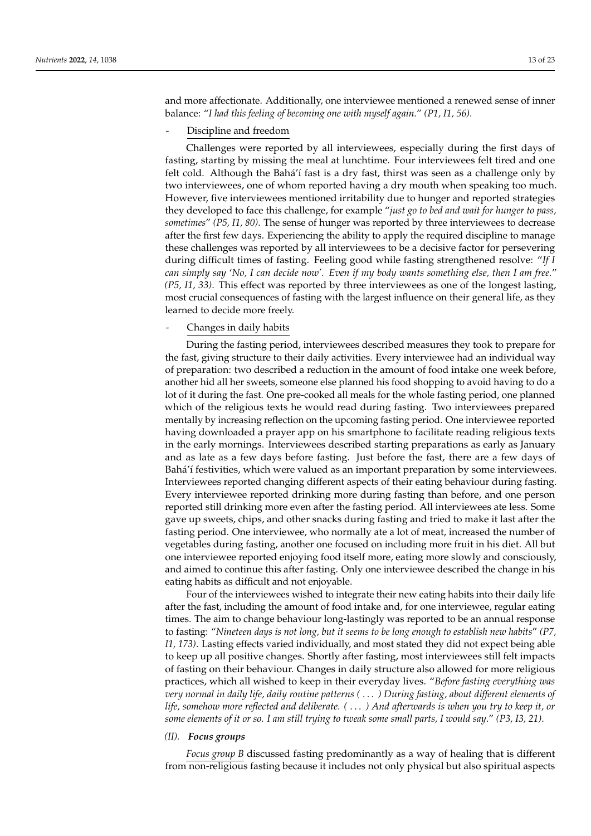and more affectionate. Additionally, one interviewee mentioned a renewed sense of inner balance: "*I had this feeling of becoming one with myself again.*" *(P1, I1, 56).*

Discipline and freedom

Challenges were reported by all interviewees, especially during the first days of fasting, starting by missing the meal at lunchtime. Four interviewees felt tired and one felt cold. Although the Bahá'í fast is a dry fast, thirst was seen as a challenge only by two interviewees, one of whom reported having a dry mouth when speaking too much. However, five interviewees mentioned irritability due to hunger and reported strategies they developed to face this challenge, for example "*just go to bed and wait for hunger to pass, sometimes*" *(P5, I1, 80)*. The sense of hunger was reported by three interviewees to decrease after the first few days. Experiencing the ability to apply the required discipline to manage these challenges was reported by all interviewees to be a decisive factor for persevering during difficult times of fasting. Feeling good while fasting strengthened resolve: "*If I can simply say* '*No, I can decide now'. Even if my body wants something else, then I am free.*" *(P5, I1, 33)*. This effect was reported by three interviewees as one of the longest lasting, most crucial consequences of fasting with the largest influence on their general life, as they learned to decide more freely.

#### - Changes in daily habits

During the fasting period, interviewees described measures they took to prepare for the fast, giving structure to their daily activities. Every interviewee had an individual way of preparation: two described a reduction in the amount of food intake one week before, another hid all her sweets, someone else planned his food shopping to avoid having to do a lot of it during the fast. One pre-cooked all meals for the whole fasting period, one planned which of the religious texts he would read during fasting. Two interviewees prepared mentally by increasing reflection on the upcoming fasting period. One interviewee reported having downloaded a prayer app on his smartphone to facilitate reading religious texts in the early mornings. Interviewees described starting preparations as early as January and as late as a few days before fasting. Just before the fast, there are a few days of Bahá'í festivities, which were valued as an important preparation by some interviewees. Interviewees reported changing different aspects of their eating behaviour during fasting. Every interviewee reported drinking more during fasting than before, and one person reported still drinking more even after the fasting period. All interviewees ate less. Some gave up sweets, chips, and other snacks during fasting and tried to make it last after the fasting period. One interviewee, who normally ate a lot of meat, increased the number of vegetables during fasting, another one focused on including more fruit in his diet. All but one interviewee reported enjoying food itself more, eating more slowly and consciously, and aimed to continue this after fasting. Only one interviewee described the change in his eating habits as difficult and not enjoyable.

Four of the interviewees wished to integrate their new eating habits into their daily life after the fast, including the amount of food intake and, for one interviewee, regular eating times. The aim to change behaviour long-lastingly was reported to be an annual response to fasting: "*Nineteen days is not long, but it seems to be long enough to establish new habits*" *(P7, I1, 173)*. Lasting effects varied individually, and most stated they did not expect being able to keep up all positive changes. Shortly after fasting, most interviewees still felt impacts of fasting on their behaviour. Changes in daily structure also allowed for more religious practices, which all wished to keep in their everyday lives. "*Before fasting everything was very normal in daily life, daily routine patterns (* . . . *) During fasting, about different elements of life, somehow more reflected and deliberate. (* . . . *) And afterwards is when you try to keep it, or some elements of it or so. I am still trying to tweak some small parts, I would say*." *(P3, I3, 21)*.

#### *(II). Focus groups*

*Focus group B* discussed fasting predominantly as a way of healing that is different from non-religious fasting because it includes not only physical but also spiritual aspects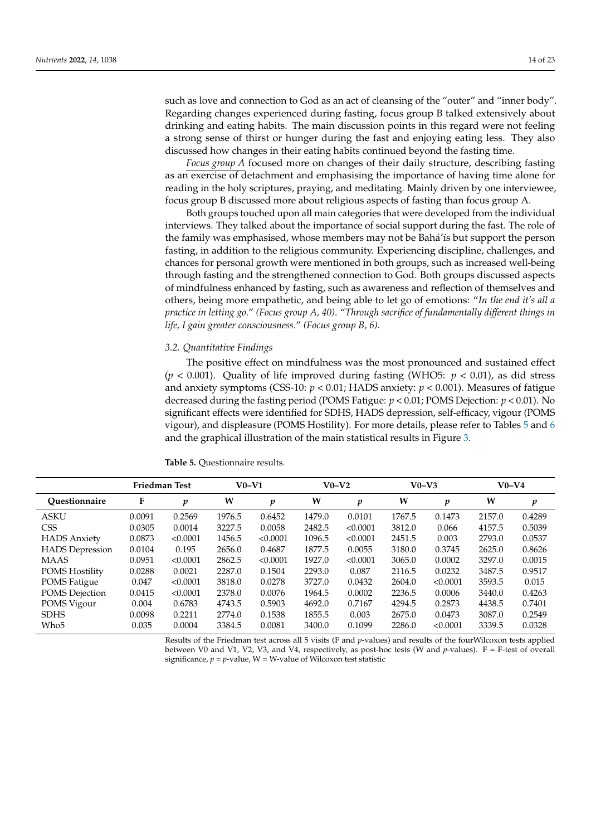such as love and connection to God as an act of cleansing of the "outer" and "inner body". Regarding changes experienced during fasting, focus group B talked extensively about drinking and eating habits. The main discussion points in this regard were not feeling a strong sense of thirst or hunger during the fast and enjoying eating less. They also discussed how changes in their eating habits continued beyond the fasting time.

*Focus group A* focused more on changes of their daily structure, describing fasting as an exercise of detachment and emphasising the importance of having time alone for reading in the holy scriptures, praying, and meditating. Mainly driven by one interviewee, focus group B discussed more about religious aspects of fasting than focus group A.

Both groups touched upon all main categories that were developed from the individual interviews. They talked about the importance of social support during the fast. The role of the family was emphasised, whose members may not be Bahá'ís but support the person fasting, in addition to the religious community. Experiencing discipline, challenges, and chances for personal growth were mentioned in both groups, such as increased well-being through fasting and the strengthened connection to God. Both groups discussed aspects of mindfulness enhanced by fasting, such as awareness and reflection of themselves and others, being more empathetic, and being able to let go of emotions: "*In the end it's all a practice in letting go.*" *(Focus group A, 40)*. "*Through sacrifice of fundamentally different things in life, I gain greater consciousness.*" *(Focus group B, 6)*.

#### *3.2. Quantitative Findings*

The positive effect on mindfulness was the most pronounced and sustained effect  $(p < 0.001)$ . Quality of life improved during fasting (WHO5:  $p < 0.01$ ), as did stress and anxiety symptoms (CSS-10: *p* < 0.01; HADS anxiety: *p* < 0.001). Measures of fatigue decreased during the fasting period (POMS Fatigue: *p* < 0.01; POMS Dejection: *p* < 0.01). No significant effects were identified for SDHS, HADS depression, self-efficacy, vigour (POMS vigour), and displeasure (POMS Hostility). For more details, please refer to Tables [5](#page-13-0) and [6](#page-14-0) and the graphical illustration of the main statistical results in Figure [3.](#page-15-0)

|                        | <b>Friedman Test</b> |          | $V0-V1$ |          | $V0-V2$ |          | $V0-V3$ |          | $V0-V4$ |        |
|------------------------|----------------------|----------|---------|----------|---------|----------|---------|----------|---------|--------|
| Ouestionnaire          | F                    | p        | W       | p        | W       | p        | W       | p        | W       | p      |
| <b>ASKU</b>            | 0.0091               | 0.2569   | 1976.5  | 0.6452   | 1479.0  | 0.0101   | 1767.5  | 0.1473   | 2157.0  | 0.4289 |
| <b>CSS</b>             | 0.0305               | 0.0014   | 3227.5  | 0.0058   | 2482.5  | < 0.0001 | 3812.0  | 0.066    | 4157.5  | 0.5039 |
| <b>HADS</b> Anxiety    | 0.0873               | < 0.0001 | 1456.5  | < 0.0001 | 1096.5  | < 0.0001 | 2451.5  | 0.003    | 2793.0  | 0.0537 |
| <b>HADS</b> Depression | 0.0104               | 0.195    | 2656.0  | 0.4687   | 1877.5  | 0.0055   | 3180.0  | 0.3745   | 2625.0  | 0.8626 |
| <b>MAAS</b>            | 0.0951               | < 0.0001 | 2862.5  | < 0.0001 | 1927.0  | < 0.0001 | 3065.0  | 0.0002   | 3297.0  | 0.0015 |
| <b>POMS Hostility</b>  | 0.0288               | 0.0021   | 2287.0  | 0.1504   | 2293.0  | 0.087    | 2116.5  | 0.0232   | 3487.5  | 0.9517 |
| POMS Fatigue           | 0.047                | < 0.0001 | 3818.0  | 0.0278   | 3727.0  | 0.0432   | 2604.0  | < 0.0001 | 3593.5  | 0.015  |
| POMS Dejection         | 0.0415               | < 0.0001 | 2378.0  | 0.0076   | 1964.5  | 0.0002   | 2236.5  | 0.0006   | 3440.0  | 0.4263 |
| POMS Vigour            | 0.004                | 0.6783   | 4743.5  | 0.5903   | 4692.0  | 0.7167   | 4294.5  | 0.2873   | 4438.5  | 0.7401 |
| <b>SDHS</b>            | 0.0098               | 0.2211   | 2774.0  | 0.1538   | 1855.5  | 0.003    | 2675.0  | 0.0473   | 3087.0  | 0.2549 |
| Who <sub>5</sub>       | 0.035                | 0.0004   | 3384.5  | 0.0081   | 3400.0  | 0.1099   | 2286.0  | < 0.0001 | 3339.5  | 0.0328 |

<span id="page-13-0"></span>**Table 5.** Questionnaire results.

Results of the Friedman test across all 5 visits (F and *p*-values) and results of the fourWilcoxon tests applied between V0 and V1, V2, V3, and V4, respectively, as post-hoc tests (W and *p*-values). F = F-test of overall significance,  $p = p$ -value,  $W = W$ -value of Wilcoxon test statistic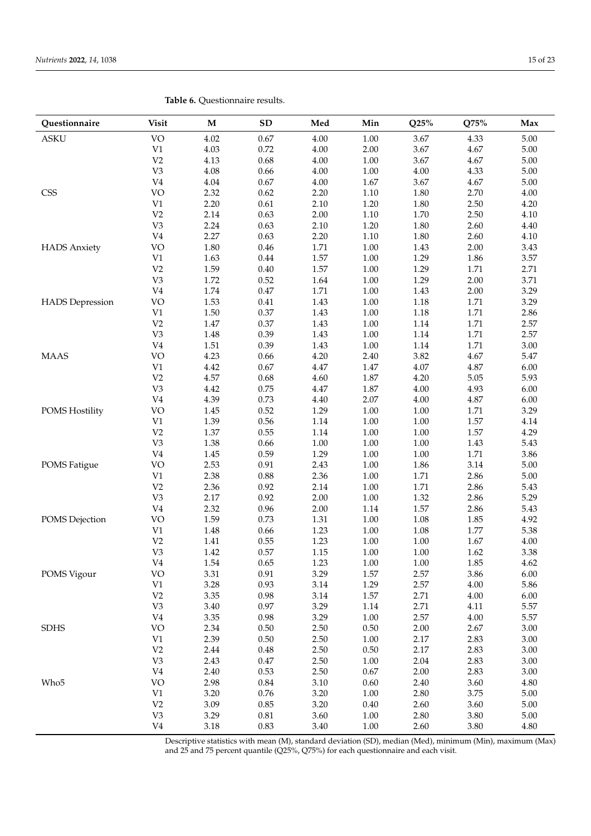| Questionnaire          | <b>Visit</b>    | M            | <b>SD</b>    | Med          | Min                  | Q25%         | Q75%         | Max          |
|------------------------|-----------------|--------------|--------------|--------------|----------------------|--------------|--------------|--------------|
| <b>ASKU</b>            | <b>VO</b>       | 4.02         | 0.67         | 4.00         | 1.00                 | 3.67         | 4.33         | 5.00         |
|                        | $\rm V1$        | 4.03         | 0.72         | 4.00         | 2.00                 | 3.67         | 4.67         | 5.00         |
|                        | V <sub>2</sub>  | 4.13         | 0.68         | 4.00         | 1.00                 | 3.67         | 4.67         | 5.00         |
|                        | V3              | 4.08         | 0.66         | 4.00         | $1.00\,$             | 4.00         | 4.33         | 5.00         |
|                        | V <sub>4</sub>  | 4.04         | $0.67\,$     | 4.00         | 1.67                 | 3.67         | 4.67         | 5.00         |
| CSS                    | VO              | 2.32         | 0.62         | 2.20         | 1.10                 | 1.80         | 2.70         | $4.00\,$     |
|                        | $\rm V1$        | 2.20         | 0.61         | 2.10         | 1.20                 | 1.80         | 2.50         | 4.20         |
|                        | V <sub>2</sub>  | 2.14         | 0.63         | 2.00         | 1.10                 | 1.70         | 2.50         | 4.10         |
|                        | V3              | 2.24         | 0.63         | 2.10         | 1.20                 | 1.80         | 2.60         | 4.40         |
|                        | V <sub>4</sub>  | 2.27         | 0.63         | 2.20         | $1.10\,$             | 1.80         | 2.60         | 4.10         |
| <b>HADS</b> Anxiety    | VO              | 1.80         | 0.46         | 1.71         | 1.00                 | 1.43         | 2.00         | 3.43         |
|                        | V1              | 1.63         | 0.44         | 1.57         | 1.00                 | 1.29         | 1.86         | 3.57         |
|                        | V <sub>2</sub>  | 1.59         | 0.40         | 1.57         | 1.00                 | 1.29         | 1.71         | 2.71         |
|                        | V3              | 1.72         | 0.52         | 1.64         | 1.00                 | 1.29         | 2.00         | 3.71         |
|                        | V <sub>4</sub>  | 1.74         | 0.47         | 1.71         | 1.00                 | 1.43         | 2.00         | 3.29         |
| <b>HADS</b> Depression | <b>VO</b>       | 1.53         | 0.41         | 1.43         | $1.00\,$             | 1.18         | 1.71         | 3.29         |
|                        | V1              | 1.50         | 0.37         | 1.43         | $1.00\,$             | 1.18         | 1.71         | 2.86         |
|                        | V <sub>2</sub>  | 1.47         | 0.37         | 1.43         | $1.00\,$             | 1.14         | 1.71         | 2.57         |
|                        | V3              | 1.48         | 0.39         | 1.43         | $1.00\,$             | 1.14         | 1.71         | 2.57         |
|                        | V <sub>4</sub>  | 1.51         | 0.39         | 1.43         | 1.00                 | 1.14         | 1.71         | 3.00         |
| <b>MAAS</b>            | VO              | 4.23         | 0.66         | 4.20         | 2.40                 | 3.82         | 4.67         | 5.47         |
|                        | V1              | 4.42         | 0.67         | 4.47         | 1.47                 | 4.07         | 4.87         | 6.00         |
|                        | V <sub>2</sub>  | 4.57         | 0.68         | 4.60         | 1.87                 | 4.20         | 5.05         | 5.93         |
|                        | V3              | 4.42         | 0.75         | 4.47         | 1.87                 | 4.00         | 4.93         | 6.00         |
|                        | V <sub>4</sub>  | 4.39         | 0.73         | 4.40         | 2.07                 | 4.00         | 4.87         | 6.00         |
| POMS Hostility         | <b>VO</b><br>V1 | 1.45<br>1.39 | 0.52         | 1.29         | 1.00                 | 1.00<br>1.00 | 1.71         | 3.29         |
|                        | V <sub>2</sub>  | 1.37         | 0.56<br>0.55 | 1.14<br>1.14 | $1.00\,$<br>$1.00\,$ | 1.00         | 1.57<br>1.57 | 4.14<br>4.29 |
|                        | V3              | 1.38         | 0.66         | 1.00         | 1.00                 | 1.00         | 1.43         | 5.43         |
|                        | V <sub>4</sub>  | 1.45         | 0.59         | 1.29         | 1.00                 | 1.00         | 1.71         | 3.86         |
| <b>POMS</b> Fatigue    | <b>VO</b>       | 2.53         | 0.91         | 2.43         | $1.00\,$             | 1.86         | 3.14         | 5.00         |
|                        | V1              | 2.38         | 0.88         | 2.36         | 1.00                 | 1.71         | 2.86         | 5.00         |
|                        | V <sub>2</sub>  | 2.36         | 0.92         | 2.14         | $1.00\,$             | 1.71         | 2.86         | 5.43         |
|                        | V3              | 2.17         | 0.92         | 2.00         | $1.00\,$             | 1.32         | 2.86         | 5.29         |
|                        | V <sub>4</sub>  | 2.32         | 0.96         | 2.00         | 1.14                 | 1.57         | 2.86         | 5.43         |
| POMS Dejection         | <b>VO</b>       | 1.59         | 0.73         | 1.31         | 1.00                 | 1.08         | 1.85         | 4.92         |
|                        | V1              | 1.48         | 0.66         | 1.23         | 1.00                 | 1.08         | 1.77         | 5.38         |
|                        | V <sub>2</sub>  | 1.41         | 0.55         | 1.23         | 1.00                 | 1.00         | 1.67         | 4.00         |
|                        | V <sub>3</sub>  | 1.42         | 0.57         | 1.15         | 1.00                 | 1.00         | 1.62         | 3.38         |
|                        | ${\rm V}4$      | 1.54         | 0.65         | $1.23\,$     | $1.00\,$             | $1.00\,$     | 1.85         | 4.62         |
| POMS Vigour            | <b>VO</b>       | 3.31         | 0.91         | 3.29         | 1.57                 | 2.57         | 3.86         | 6.00         |
|                        | $\rm V1$        | 3.28         | 0.93         | 3.14         | 1.29                 | 2.57         | 4.00         | 5.86         |
|                        | V <sub>2</sub>  | 3.35         | 0.98         | 3.14         | 1.57                 | 2.71         | 4.00         | 6.00         |
|                        | V <sub>3</sub>  | 3.40         | 0.97         | 3.29         | 1.14                 | 2.71         | 4.11         | 5.57         |
|                        | V <sub>4</sub>  | 3.35         | 0.98         | 3.29         | $1.00\,$             | 2.57         | 4.00         | 5.57         |
| <b>SDHS</b>            | <b>VO</b>       | 2.34         | $0.50\,$     | 2.50         | 0.50                 | 2.00         | 2.67         | 3.00         |
|                        | $\rm V1$        | 2.39         | $0.50\,$     | 2.50         | $1.00\,$             | 2.17         | 2.83         | 3.00         |
|                        | V <sub>2</sub>  | 2.44         | 0.48         | 2.50         | $0.50\,$             | 2.17         | 2.83         | 3.00         |
|                        | V <sub>3</sub>  | 2.43         | 0.47         | 2.50         | 1.00                 | 2.04         | 2.83         | 3.00         |
|                        | V <sub>4</sub>  | 2.40         | 0.53         | 2.50         | $0.67\,$             | 2.00         | 2.83         | 3.00         |
| Who <sub>5</sub>       | <b>VO</b>       | 2.98         | $0.84\,$     | 3.10         | 0.60                 | 2.40         | 3.60         | 4.80         |
|                        | V1              | 3.20         | 0.76         | 3.20         | 1.00                 | 2.80         | 3.75         | 5.00         |
|                        | V <sub>2</sub>  | 3.09         | 0.85         | 3.20         | 0.40                 | 2.60         | 3.60         | 5.00         |
|                        | V3              | 3.29         | $0.81\,$     | 3.60         | $1.00\,$             | 2.80         | 3.80         | 5.00         |
|                        | V <sub>4</sub>  | 3.18         | 0.83         | 3.40         | 1.00                 | 2.60         | 3.80         | 4.80         |

<span id="page-14-0"></span>**Table 6.** Questionnaire results.

Descriptive statistics with mean (M), standard deviation (SD), median (Med), minimum (Min), maximum (Max) and 25 and 75 percent quantile (Q25%, Q75%) for each questionnaire and each visit.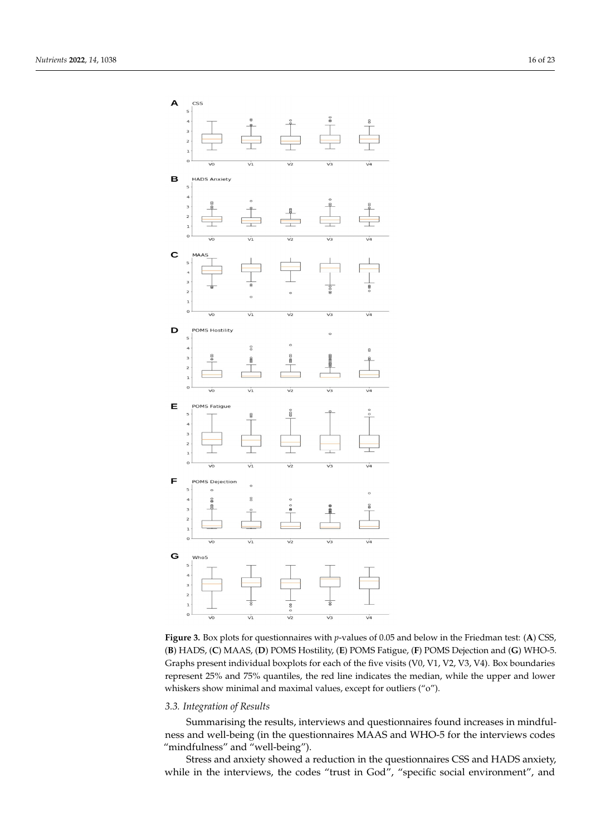<span id="page-15-0"></span>



### *3.3. Integration of Results*

Summarising the results, interviews and questionnaires found increases in mindfulness and well-being (in the questionnaires MAAS and WHO-5 for the interviews codes "mindfulness" and "well-being").

Stress and anxiety showed a reduction in the questionnaires CSS and HADS anxiety, while in the interviews, the codes "trust in God", "specific social environment", and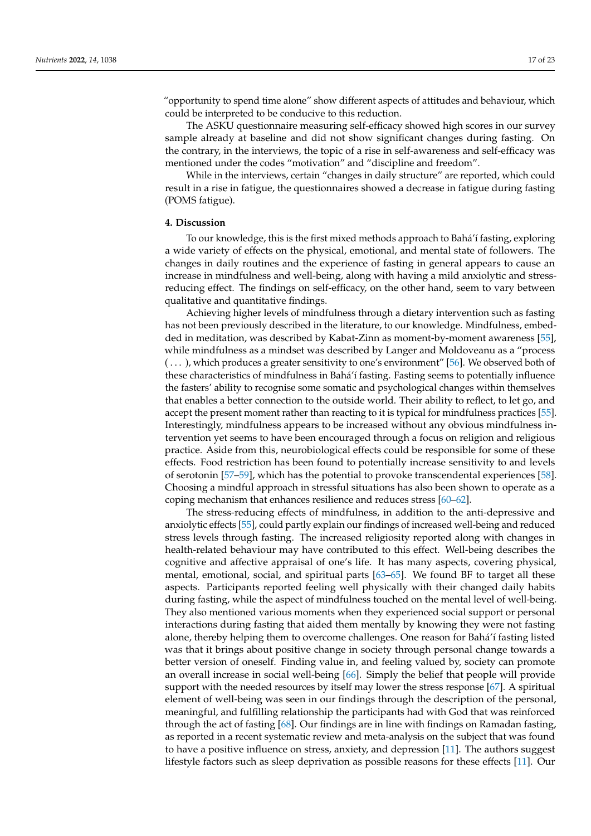"opportunity to spend time alone" show different aspects of attitudes and behaviour, which could be interpreted to be conducive to this reduction.

The ASKU questionnaire measuring self-efficacy showed high scores in our survey sample already at baseline and did not show significant changes during fasting. On the contrary, in the interviews, the topic of a rise in self-awareness and self-efficacy was mentioned under the codes "motivation" and "discipline and freedom".

While in the interviews, certain "changes in daily structure" are reported, which could result in a rise in fatigue, the questionnaires showed a decrease in fatigue during fasting (POMS fatigue).

# **4. Discussion**

To our knowledge, this is the first mixed methods approach to Bahá'í fasting, exploring a wide variety of effects on the physical, emotional, and mental state of followers. The changes in daily routines and the experience of fasting in general appears to cause an increase in mindfulness and well-being, along with having a mild anxiolytic and stressreducing effect. The findings on self-efficacy, on the other hand, seem to vary between qualitative and quantitative findings.

Achieving higher levels of mindfulness through a dietary intervention such as fasting has not been previously described in the literature, to our knowledge. Mindfulness, embedded in meditation, was described by Kabat-Zinn as moment-by-moment awareness [\[55\]](#page-21-11), while mindfulness as a mindset was described by Langer and Moldoveanu as a "process ( . . . ), which produces a greater sensitivity to one's environment" [\[56\]](#page-21-12). We observed both of these characteristics of mindfulness in Bahá'í fasting. Fasting seems to potentially influence the fasters' ability to recognise some somatic and psychological changes within themselves that enables a better connection to the outside world. Their ability to reflect, to let go, and accept the present moment rather than reacting to it is typical for mindfulness practices [\[55\]](#page-21-11). Interestingly, mindfulness appears to be increased without any obvious mindfulness intervention yet seems to have been encouraged through a focus on religion and religious practice. Aside from this, neurobiological effects could be responsible for some of these effects. Food restriction has been found to potentially increase sensitivity to and levels of serotonin [\[57–](#page-21-13)[59\]](#page-21-14), which has the potential to provoke transcendental experiences [\[58\]](#page-21-15). Choosing a mindful approach in stressful situations has also been shown to operate as a coping mechanism that enhances resilience and reduces stress [\[60–](#page-21-16)[62\]](#page-21-17).

The stress-reducing effects of mindfulness, in addition to the anti-depressive and anxiolytic effects [\[55\]](#page-21-11), could partly explain our findings of increased well-being and reduced stress levels through fasting. The increased religiosity reported along with changes in health-related behaviour may have contributed to this effect. Well-being describes the cognitive and affective appraisal of one's life. It has many aspects, covering physical, mental, emotional, social, and spiritual parts [\[63–](#page-21-18)[65\]](#page-21-19). We found BF to target all these aspects. Participants reported feeling well physically with their changed daily habits during fasting, while the aspect of mindfulness touched on the mental level of well-being. They also mentioned various moments when they experienced social support or personal interactions during fasting that aided them mentally by knowing they were not fasting alone, thereby helping them to overcome challenges. One reason for Bahá'í fasting listed was that it brings about positive change in society through personal change towards a better version of oneself. Finding value in, and feeling valued by, society can promote an overall increase in social well-being [\[66\]](#page-21-20). Simply the belief that people will provide support with the needed resources by itself may lower the stress response [\[67\]](#page-21-21). A spiritual element of well-being was seen in our findings through the description of the personal, meaningful, and fulfilling relationship the participants had with God that was reinforced through the act of fasting [\[68\]](#page-21-22). Our findings are in line with findings on Ramadan fasting, as reported in a recent systematic review and meta-analysis on the subject that was found to have a positive influence on stress, anxiety, and depression [\[11\]](#page-19-8). The authors suggest lifestyle factors such as sleep deprivation as possible reasons for these effects [\[11\]](#page-19-8). Our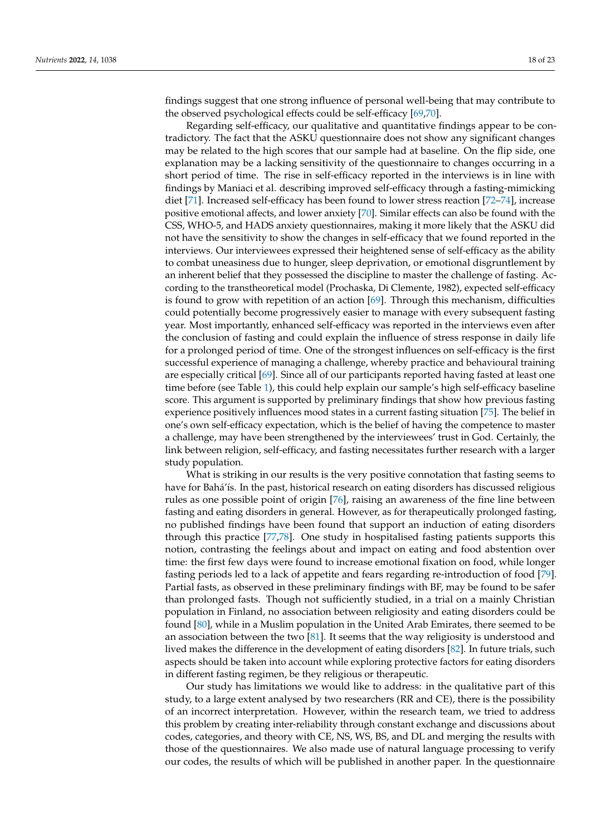findings suggest that one strong influence of personal well-being that may contribute to the observed psychological effects could be self-efficacy [\[69,](#page-21-23)[70\]](#page-21-24).

Regarding self-efficacy, our qualitative and quantitative findings appear to be contradictory. The fact that the ASKU questionnaire does not show any significant changes may be related to the high scores that our sample had at baseline. On the flip side, one explanation may be a lacking sensitivity of the questionnaire to changes occurring in a short period of time. The rise in self-efficacy reported in the interviews is in line with findings by Maniaci et al. describing improved self-efficacy through a fasting-mimicking diet [\[71\]](#page-21-25). Increased self-efficacy has been found to lower stress reaction [\[72–](#page-21-26)[74\]](#page-22-0), increase positive emotional affects, and lower anxiety [\[70\]](#page-21-24). Similar effects can also be found with the CSS, WHO-5, and HADS anxiety questionnaires, making it more likely that the ASKU did not have the sensitivity to show the changes in self-efficacy that we found reported in the interviews. Our interviewees expressed their heightened sense of self-efficacy as the ability to combat uneasiness due to hunger, sleep deprivation, or emotional disgruntlement by an inherent belief that they possessed the discipline to master the challenge of fasting. According to the transtheoretical model (Prochaska, Di Clemente, 1982), expected self-efficacy is found to grow with repetition of an action [\[69\]](#page-21-23). Through this mechanism, difficulties could potentially become progressively easier to manage with every subsequent fasting year. Most importantly, enhanced self-efficacy was reported in the interviews even after the conclusion of fasting and could explain the influence of stress response in daily life for a prolonged period of time. One of the strongest influences on self-efficacy is the first successful experience of managing a challenge, whereby practice and behavioural training are especially critical [\[69\]](#page-21-23). Since all of our participants reported having fasted at least one time before (see Table [1\)](#page-6-0), this could help explain our sample's high self-efficacy baseline score. This argument is supported by preliminary findings that show how previous fasting experience positively influences mood states in a current fasting situation [\[75\]](#page-22-1). The belief in one's own self-efficacy expectation, which is the belief of having the competence to master a challenge, may have been strengthened by the interviewees' trust in God. Certainly, the link between religion, self-efficacy, and fasting necessitates further research with a larger study population.

What is striking in our results is the very positive connotation that fasting seems to have for Bahá'ís. In the past, historical research on eating disorders has discussed religious rules as one possible point of origin [\[76\]](#page-22-2), raising an awareness of the fine line between fasting and eating disorders in general. However, as for therapeutically prolonged fasting, no published findings have been found that support an induction of eating disorders through this practice [\[77,](#page-22-3)[78\]](#page-22-4). One study in hospitalised fasting patients supports this notion, contrasting the feelings about and impact on eating and food abstention over time: the first few days were found to increase emotional fixation on food, while longer fasting periods led to a lack of appetite and fears regarding re-introduction of food [\[79\]](#page-22-5). Partial fasts, as observed in these preliminary findings with BF, may be found to be safer than prolonged fasts. Though not sufficiently studied, in a trial on a mainly Christian population in Finland, no association between religiosity and eating disorders could be found [\[80\]](#page-22-6), while in a Muslim population in the United Arab Emirates, there seemed to be an association between the two  $[81]$ . It seems that the way religiosity is understood and lived makes the difference in the development of eating disorders [\[82\]](#page-22-8). In future trials, such aspects should be taken into account while exploring protective factors for eating disorders in different fasting regimen, be they religious or therapeutic.

Our study has limitations we would like to address: in the qualitative part of this study, to a large extent analysed by two researchers (RR and CE), there is the possibility of an incorrect interpretation. However, within the research team, we tried to address this problem by creating inter-reliability through constant exchange and discussions about codes, categories, and theory with CE, NS, WS, BS, and DL and merging the results with those of the questionnaires. We also made use of natural language processing to verify our codes, the results of which will be published in another paper. In the questionnaire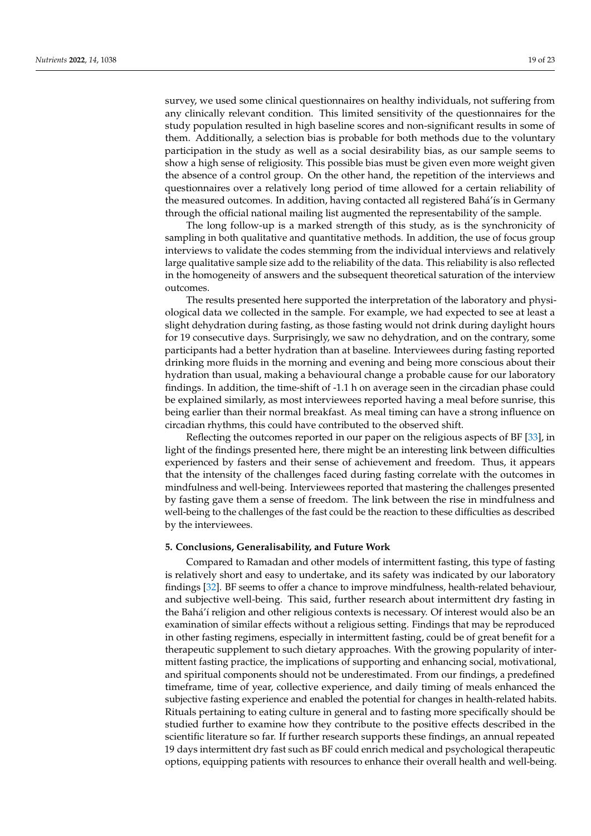survey, we used some clinical questionnaires on healthy individuals, not suffering from any clinically relevant condition. This limited sensitivity of the questionnaires for the study population resulted in high baseline scores and non-significant results in some of them. Additionally, a selection bias is probable for both methods due to the voluntary participation in the study as well as a social desirability bias, as our sample seems to show a high sense of religiosity. This possible bias must be given even more weight given the absence of a control group. On the other hand, the repetition of the interviews and questionnaires over a relatively long period of time allowed for a certain reliability of the measured outcomes. In addition, having contacted all registered Bahá'ís in Germany through the official national mailing list augmented the representability of the sample.

The long follow-up is a marked strength of this study, as is the synchronicity of sampling in both qualitative and quantitative methods. In addition, the use of focus group interviews to validate the codes stemming from the individual interviews and relatively large qualitative sample size add to the reliability of the data. This reliability is also reflected in the homogeneity of answers and the subsequent theoretical saturation of the interview outcomes.

The results presented here supported the interpretation of the laboratory and physiological data we collected in the sample. For example, we had expected to see at least a slight dehydration during fasting, as those fasting would not drink during daylight hours for 19 consecutive days. Surprisingly, we saw no dehydration, and on the contrary, some participants had a better hydration than at baseline. Interviewees during fasting reported drinking more fluids in the morning and evening and being more conscious about their hydration than usual, making a behavioural change a probable cause for our laboratory findings. In addition, the time-shift of -1.1 h on average seen in the circadian phase could be explained similarly, as most interviewees reported having a meal before sunrise, this being earlier than their normal breakfast. As meal timing can have a strong influence on circadian rhythms, this could have contributed to the observed shift.

Reflecting the outcomes reported in our paper on the religious aspects of BF [\[33\]](#page-20-15), in light of the findings presented here, there might be an interesting link between difficulties experienced by fasters and their sense of achievement and freedom. Thus, it appears that the intensity of the challenges faced during fasting correlate with the outcomes in mindfulness and well-being. Interviewees reported that mastering the challenges presented by fasting gave them a sense of freedom. The link between the rise in mindfulness and well-being to the challenges of the fast could be the reaction to these difficulties as described by the interviewees.

# **5. Conclusions, Generalisability, and Future Work**

Compared to Ramadan and other models of intermittent fasting, this type of fasting is relatively short and easy to undertake, and its safety was indicated by our laboratory findings [\[32\]](#page-20-14). BF seems to offer a chance to improve mindfulness, health-related behaviour, and subjective well-being. This said, further research about intermittent dry fasting in the Bahá'í religion and other religious contexts is necessary. Of interest would also be an examination of similar effects without a religious setting. Findings that may be reproduced in other fasting regimens, especially in intermittent fasting, could be of great benefit for a therapeutic supplement to such dietary approaches. With the growing popularity of intermittent fasting practice, the implications of supporting and enhancing social, motivational, and spiritual components should not be underestimated. From our findings, a predefined timeframe, time of year, collective experience, and daily timing of meals enhanced the subjective fasting experience and enabled the potential for changes in health-related habits. Rituals pertaining to eating culture in general and to fasting more specifically should be studied further to examine how they contribute to the positive effects described in the scientific literature so far. If further research supports these findings, an annual repeated 19 days intermittent dry fast such as BF could enrich medical and psychological therapeutic options, equipping patients with resources to enhance their overall health and well-being.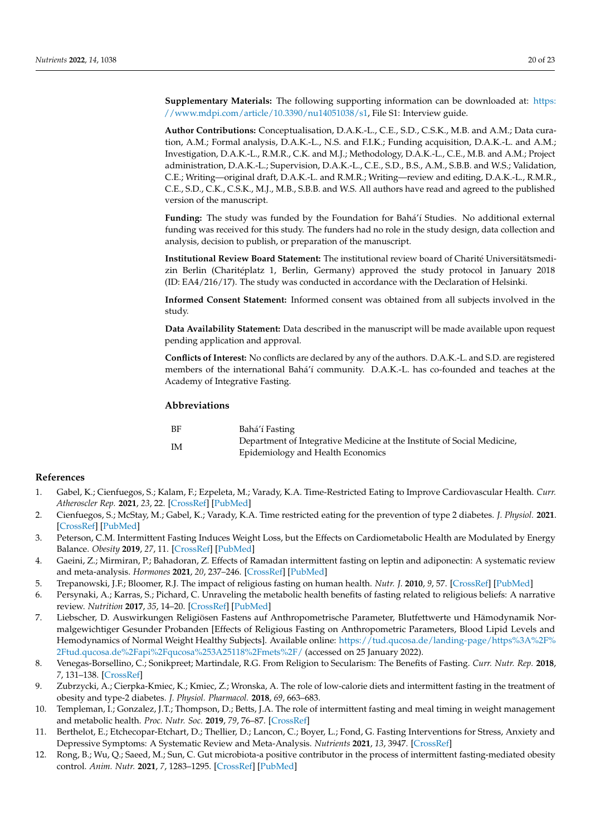**Supplementary Materials:** The following supporting information can be downloaded at: [https:](https://www.mdpi.com/article/10.3390/nu14051038/s1) [//www.mdpi.com/article/10.3390/nu14051038/s1,](https://www.mdpi.com/article/10.3390/nu14051038/s1) File S1: Interview guide.

**Author Contributions:** Conceptualisation, D.A.K.-L., C.E., S.D., C.S.K., M.B. and A.M.; Data curation, A.M.; Formal analysis, D.A.K.-L., N.S. and F.I.K.; Funding acquisition, D.A.K.-L. and A.M.; Investigation, D.A.K.-L., R.M.R., C.K. and M.J.; Methodology, D.A.K.-L., C.E., M.B. and A.M.; Project administration, D.A.K.-L.; Supervision, D.A.K.-L., C.E., S.D., B.S., A.M., S.B.B. and W.S.; Validation, C.E.; Writing—original draft, D.A.K.-L. and R.M.R.; Writing—review and editing, D.A.K.-L., R.M.R., C.E., S.D., C.K., C.S.K., M.J., M.B., S.B.B. and W.S. All authors have read and agreed to the published version of the manuscript.

**Funding:** The study was funded by the Foundation for Bahá'í Studies. No additional external funding was received for this study. The funders had no role in the study design, data collection and analysis, decision to publish, or preparation of the manuscript.

**Institutional Review Board Statement:** The institutional review board of Charité Universitätsmedizin Berlin (Charitéplatz 1, Berlin, Germany) approved the study protocol in January 2018 (ID: EA4/216/17). The study was conducted in accordance with the Declaration of Helsinki.

**Informed Consent Statement:** Informed consent was obtained from all subjects involved in the study.

**Data Availability Statement:** Data described in the manuscript will be made available upon request pending application and approval.

**Conflicts of Interest:** No conflicts are declared by any of the authors. D.A.K.-L. and S.D. are registered members of the international Bahá'í community. D.A.K.-L. has co-founded and teaches at the Academy of Integrative Fasting.

## **Abbreviations**

| BF | Bahá'í Fasting                                                          |
|----|-------------------------------------------------------------------------|
| IM | Department of Integrative Medicine at the Institute of Social Medicine, |
|    | Epidemiology and Health Economics                                       |

#### **References**

- <span id="page-19-0"></span>1. Gabel, K.; Cienfuegos, S.; Kalam, F.; Ezpeleta, M.; Varady, K.A. Time-Restricted Eating to Improve Cardiovascular Health. *Curr. Atheroscler Rep.* **2021**, *23*, 22. [\[CrossRef\]](http://doi.org/10.1007/s11883-021-00922-7) [\[PubMed\]](http://www.ncbi.nlm.nih.gov/pubmed/33772388)
- <span id="page-19-1"></span>2. Cienfuegos, S.; McStay, M.; Gabel, K.; Varady, K.A. Time restricted eating for the prevention of type 2 diabetes. *J. Physiol.* **2021**. [\[CrossRef\]](http://doi.org/10.1113/JP281101) [\[PubMed\]](http://www.ncbi.nlm.nih.gov/pubmed/34418079)
- 3. Peterson, C.M. Intermittent Fasting Induces Weight Loss, but the Effects on Cardiometabolic Health are Modulated by Energy Balance. *Obesity* **2019**, *27*, 11. [\[CrossRef\]](http://doi.org/10.1002/oby.22384) [\[PubMed\]](http://www.ncbi.nlm.nih.gov/pubmed/30569643)
- <span id="page-19-2"></span>4. Gaeini, Z.; Mirmiran, P.; Bahadoran, Z. Effects of Ramadan intermittent fasting on leptin and adiponectin: A systematic review and meta-analysis. *Hormones* **2021**, *20*, 237–246. [\[CrossRef\]](http://doi.org/10.1007/s42000-021-00285-3) [\[PubMed\]](http://www.ncbi.nlm.nih.gov/pubmed/33786736)
- <span id="page-19-3"></span>5. Trepanowski, J.F.; Bloomer, R.J. The impact of religious fasting on human health. *Nutr. J.* **2010**, *9*, 57. [\[CrossRef\]](http://doi.org/10.1186/1475-2891-9-57) [\[PubMed\]](http://www.ncbi.nlm.nih.gov/pubmed/21092212)
- 6. Persynaki, A.; Karras, S.; Pichard, C. Unraveling the metabolic health benefits of fasting related to religious beliefs: A narrative review. *Nutrition* **2017**, *35*, 14–20. [\[CrossRef\]](http://doi.org/10.1016/j.nut.2016.10.005) [\[PubMed\]](http://www.ncbi.nlm.nih.gov/pubmed/28241983)
- <span id="page-19-4"></span>7. Liebscher, D. Auswirkungen Religiösen Fastens auf Anthropometrische Parameter, Blutfettwerte und Hämodynamik Normalgewichtiger Gesunder Probanden [Effects of Religious Fasting on Anthropometric Parameters, Blood Lipid Levels and Hemodynamics of Normal Weight Healthy Subjects]. Available online: [https://tud.qucosa.de/landing-page/https%3A%2F%](https://tud.qucosa.de/landing-page/https%3A%2F%2Ftud.qucosa.de%2Fapi%2Fqucosa%253A25118%2Fmets%2F/) [2Ftud.qucosa.de%2Fapi%2Fqucosa%253A25118%2Fmets%2F/](https://tud.qucosa.de/landing-page/https%3A%2F%2Ftud.qucosa.de%2Fapi%2Fqucosa%253A25118%2Fmets%2F/) (accessed on 25 January 2022).
- <span id="page-19-5"></span>8. Venegas-Borsellino, C.; Sonikpreet; Martindale, R.G. From Religion to Secularism: The Benefits of Fasting. *Curr. Nutr. Rep.* **2018**, *7*, 131–138. [\[CrossRef\]](http://doi.org/10.1007/s13668-018-0233-2)
- <span id="page-19-6"></span>9. Zubrzycki, A.; Cierpka-Kmiec, K.; Kmiec, Z.; Wronska, A. The role of low-calorie diets and intermittent fasting in the treatment of obesity and type-2 diabetes. *J. Physiol. Pharmacol.* **2018**, *69*, 663–683.
- <span id="page-19-7"></span>10. Templeman, I.; Gonzalez, J.T.; Thompson, D.; Betts, J.A. The role of intermittent fasting and meal timing in weight management and metabolic health. *Proc. Nutr. Soc.* **2019**, *79*, 76–87. [\[CrossRef\]](http://doi.org/10.1017/S0029665119000636)
- <span id="page-19-8"></span>11. Berthelot, E.; Etchecopar-Etchart, D.; Thellier, D.; Lancon, C.; Boyer, L.; Fond, G. Fasting Interventions for Stress, Anxiety and Depressive Symptoms: A Systematic Review and Meta-Analysis. *Nutrients* **2021**, *13*, 3947. [\[CrossRef\]](http://doi.org/10.3390/nu13113947)
- <span id="page-19-9"></span>12. Rong, B.; Wu, Q.; Saeed, M.; Sun, C. Gut microbiota-a positive contributor in the process of intermittent fasting-mediated obesity control. *Anim. Nutr.* **2021**, *7*, 1283–1295. [\[CrossRef\]](http://doi.org/10.1016/j.aninu.2021.09.009) [\[PubMed\]](http://www.ncbi.nlm.nih.gov/pubmed/34786501)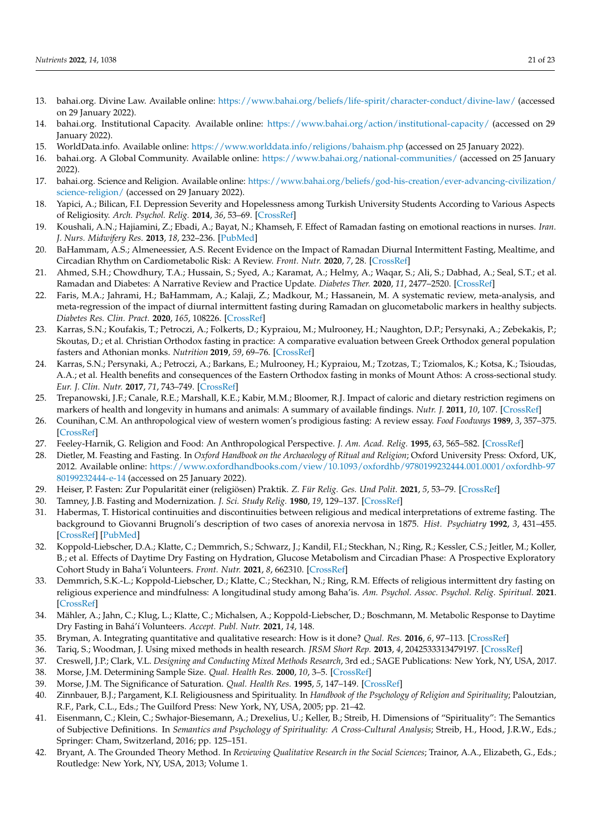- <span id="page-20-0"></span>13. bahai.org. Divine Law. Available online: <https://www.bahai.org/beliefs/life-spirit/character-conduct/divine-law/> (accessed on 29 January 2022).
- <span id="page-20-1"></span>14. bahai.org. Institutional Capacity. Available online: <https://www.bahai.org/action/institutional-capacity/> (accessed on 29 January 2022).
- <span id="page-20-2"></span>15. WorldData.info. Available online: <https://www.worlddata.info/religions/bahaism.php> (accessed on 25 January 2022).
- <span id="page-20-3"></span>16. bahai.org. A Global Community. Available online: <https://www.bahai.org/national-communities/> (accessed on 25 January 2022).
- <span id="page-20-4"></span>17. bahai.org. Science and Religion. Available online: [https://www.bahai.org/beliefs/god-his-creation/ever-advancing-civilization/](https://www.bahai.org/beliefs/god-his-creation/ever-advancing-civilization/science-religion/) [science-religion/](https://www.bahai.org/beliefs/god-his-creation/ever-advancing-civilization/science-religion/) (accessed on 29 January 2022).
- <span id="page-20-5"></span>18. Yapici, A.; Bilican, F.I. Depression Severity and Hopelessness among Turkish University Students According to Various Aspects of Religiosity. *Arch. Psychol. Relig.* **2014**, *36*, 53–69. [\[CrossRef\]](http://doi.org/10.1163/15736121-12341277)
- 19. Koushali, A.N.; Hajiamini, Z.; Ebadi, A.; Bayat, N.; Khamseh, F. Effect of Ramadan fasting on emotional reactions in nurses. *Iran. J. Nurs. Midwifery Res.* **2013**, *18*, 232–236. [\[PubMed\]](http://www.ncbi.nlm.nih.gov/pubmed/23983761)
- 20. BaHammam, A.S.; Almeneessier, A.S. Recent Evidence on the Impact of Ramadan Diurnal Intermittent Fasting, Mealtime, and Circadian Rhythm on Cardiometabolic Risk: A Review. *Front. Nutr.* **2020**, *7*, 28. [\[CrossRef\]](http://doi.org/10.3389/fnut.2020.00028)
- 21. Ahmed, S.H.; Chowdhury, T.A.; Hussain, S.; Syed, A.; Karamat, A.; Helmy, A.; Waqar, S.; Ali, S.; Dabhad, A.; Seal, S.T.; et al. Ramadan and Diabetes: A Narrative Review and Practice Update. *Diabetes Ther.* **2020**, *11*, 2477–2520. [\[CrossRef\]](http://doi.org/10.1007/s13300-020-00886-y)
- <span id="page-20-6"></span>22. Faris, M.A.; Jahrami, H.; BaHammam, A.; Kalaji, Z.; Madkour, M.; Hassanein, M. A systematic review, meta-analysis, and meta-regression of the impact of diurnal intermittent fasting during Ramadan on glucometabolic markers in healthy subjects. *Diabetes Res. Clin. Pract.* **2020**, *165*, 108226. [\[CrossRef\]](http://doi.org/10.1016/j.diabres.2020.108226)
- <span id="page-20-7"></span>23. Karras, S.N.; Koufakis, T.; Petroczi, A.; Folkerts, D.; Kypraiou, M.; Mulrooney, H.; Naughton, D.P.; Persynaki, A.; Zebekakis, P.; Skoutas, D.; et al. Christian Orthodox fasting in practice: A comparative evaluation between Greek Orthodox general population fasters and Athonian monks. *Nutrition* **2019**, *59*, 69–76. [\[CrossRef\]](http://doi.org/10.1016/j.nut.2018.07.003)
- 24. Karras, S.N.; Persynaki, A.; Petroczi, A.; Barkans, E.; Mulrooney, H.; Kypraiou, M.; Tzotzas, T.; Tziomalos, K.; Kotsa, K.; Tsioudas, A.A.; et al. Health benefits and consequences of the Eastern Orthodox fasting in monks of Mount Athos: A cross-sectional study. *Eur. J. Clin. Nutr.* **2017**, *71*, 743–749. [\[CrossRef\]](http://doi.org/10.1038/ejcn.2017.26)
- <span id="page-20-8"></span>25. Trepanowski, J.F.; Canale, R.E.; Marshall, K.E.; Kabir, M.M.; Bloomer, R.J. Impact of caloric and dietary restriction regimens on markers of health and longevity in humans and animals: A summary of available findings. *Nutr. J.* **2011**, *10*, 107. [\[CrossRef\]](http://doi.org/10.1186/1475-2891-10-107)
- <span id="page-20-9"></span>26. Counihan, C.M. An anthropological view of western women's prodigious fasting: A review essay. *Food Foodways* **1989**, *3*, 357–375. [\[CrossRef\]](http://doi.org/10.1080/07409710.1989.9961961)
- 27. Feeley-Harnik, G. Religion and Food: An Anthropological Perspective. *J. Am. Acad. Relig.* **1995**, *63*, 565–582. [\[CrossRef\]](http://doi.org/10.1093/jaarel/LXIII.3.565)
- <span id="page-20-10"></span>28. Dietler, M. Feasting and Fasting. In *Oxford Handbook on the Archaeology of Ritual and Religion*; Oxford University Press: Oxford, UK, 2012. Available online: [https://www.oxfordhandbooks.com/view/10.1093/oxfordhb/9780199232444.001.0001/oxfordhb-97](https://www.oxfordhandbooks.com/view/10.1093/oxfordhb/9780199232444.001.0001/oxfordhb-9780199232444-e-14) [80199232444-e-14](https://www.oxfordhandbooks.com/view/10.1093/oxfordhb/9780199232444.001.0001/oxfordhb-9780199232444-e-14) (accessed on 25 January 2022).
- <span id="page-20-11"></span>29. Heiser, P. Fasten: Zur Popularität einer (religiösen) Praktik. *Z. Für Relig. Ges. Und Polit.* **2021**, *5*, 53–79. [\[CrossRef\]](http://doi.org/10.1007/s41682-021-00081-1)
- <span id="page-20-12"></span>30. Tamney, J.B. Fasting and Modernization. *J. Sci. Study Relig.* **1980**, *19*, 129–137. [\[CrossRef\]](http://doi.org/10.2307/1386247)
- <span id="page-20-13"></span>31. Habermas, T. Historical continuities and discontinuities between religious and medical interpretations of extreme fasting. The background to Giovanni Brugnoli's description of two cases of anorexia nervosa in 1875. *Hist. Psychiatry* **1992**, *3*, 431–455. [\[CrossRef\]](http://doi.org/10.1177/0957154X9200301203) [\[PubMed\]](http://www.ncbi.nlm.nih.gov/pubmed/11612915)
- <span id="page-20-14"></span>32. Koppold-Liebscher, D.A.; Klatte, C.; Demmrich, S.; Schwarz, J.; Kandil, F.I.; Steckhan, N.; Ring, R.; Kessler, C.S.; Jeitler, M.; Koller, B.; et al. Effects of Daytime Dry Fasting on Hydration, Glucose Metabolism and Circadian Phase: A Prospective Exploratory Cohort Study in Baha'i Volunteers. *Front. Nutr.* **2021**, *8*, 662310. [\[CrossRef\]](http://doi.org/10.3389/fnut.2021.662310)
- <span id="page-20-15"></span>33. Demmrich, S.K.-L.; Koppold-Liebscher, D.; Klatte, C.; Steckhan, N.; Ring, R.M. Effects of religious intermittent dry fasting on religious experience and mindfulness: A longitudinal study among Baha'is. *Am. Psychol. Assoc. Psychol. Relig. Spiritual.* **2021**. [\[CrossRef\]](http://doi.org/10.1037/rel0000423)
- <span id="page-20-16"></span>34. Mähler, A.; Jahn, C.; Klug, L.; Klatte, C.; Michalsen, A.; Koppold-Liebscher, D.; Boschmann, M. Metabolic Response to Daytime Dry Fasting in Bahá'í Volunteers. *Accept. Publ. Nutr.* **2021**, *14*, 148.
- <span id="page-20-17"></span>35. Bryman, A. Integrating quantitative and qualitative research: How is it done? *Qual. Res.* **2016**, *6*, 97–113. [\[CrossRef\]](http://doi.org/10.1177/1468794106058877)
- <span id="page-20-18"></span>36. Tariq, S.; Woodman, J. Using mixed methods in health research. *JRSM Short Rep.* **2013**, *4*, 2042533313479197. [\[CrossRef\]](http://doi.org/10.1177/2042533313479197)
- <span id="page-20-19"></span>37. Creswell, J.P.; Clark, V.L. *Designing and Conducting Mixed Methods Research*, 3rd ed.; SAGE Publications: New York, NY, USA, 2017.
- <span id="page-20-20"></span>38. Morse, J.M. Determining Sample Size. *Qual. Health Res.* **2000**, *10*, 3–5. [\[CrossRef\]](http://doi.org/10.1177/104973200129118183)
- <span id="page-20-21"></span>39. Morse, J.M. The Significance of Saturation. *Qual. Health Res.* **1995**, *5*, 147–149. [\[CrossRef\]](http://doi.org/10.1177/104973239500500201)
- <span id="page-20-22"></span>40. Zinnbauer, B.J.; Pargament, K.I. Religiousness and Spirituality. In *Handbook of the Psychology of Religion and Spirituality*; Paloutzian, R.F., Park, C.L., Eds.; The Guilford Press: New York, NY, USA, 2005; pp. 21–42.
- <span id="page-20-23"></span>41. Eisenmann, C.; Klein, C.; Swhajor-Biesemann, A.; Drexelius, U.; Keller, B.; Streib, H. Dimensions of "Spirituality": The Semantics of Subjective Definitions. In *Semantics and Psychology of Spirituality: A Cross-Cultural Analysis*; Streib, H., Hood, J.R.W., Eds.; Springer: Cham, Switzerland, 2016; pp. 125–151.
- <span id="page-20-24"></span>42. Bryant, A. The Grounded Theory Method. In *Reviewing Qualitative Research in the Social Sciences*; Trainor, A.A., Elizabeth, G., Eds.; Routledge: New York, NY, USA, 2013; Volume 1.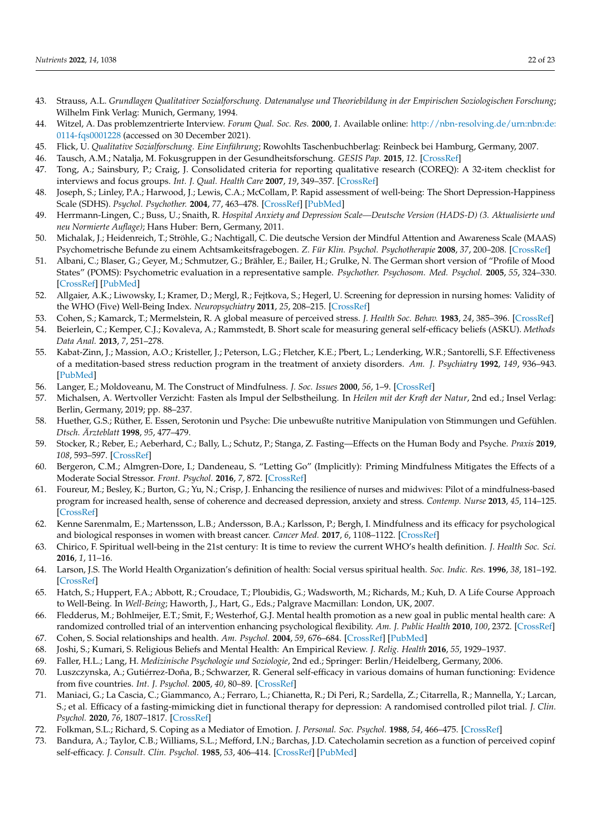- <span id="page-21-10"></span>43. Strauss, A.L. *Grundlagen Qualitativer Sozialforschung. Datenanalyse und Theoriebildung in der Empirischen Soziologischen Forschung*; Wilhelm Fink Verlag: Munich, Germany, 1994.
- <span id="page-21-0"></span>44. Witzel, A. Das problemzentrierte Interview. *Forum Qual. Soc. Res.* **2000**, *1*. Available online: [http://nbn-resolving.de/urn:nbn:de:](http://nbn-resolving.de/urn:nbn:de:0114-fqs0001228) [0114-fqs0001228](http://nbn-resolving.de/urn:nbn:de:0114-fqs0001228) (accessed on 30 December 2021).
- <span id="page-21-1"></span>45. Flick, U. *Qualitative Sozialforschung. Eine Einführung*; Rowohlts Taschenbuchberlag: Reinbeck bei Hamburg, Germany, 2007.
- 46. Tausch, A.M.; Natalja, M. Fokusgruppen in der Gesundheitsforschung. *GESIS Pap.* **2015**, *12*. [\[CrossRef\]](http://doi.org/10.21241/ssoar.44016)
- <span id="page-21-2"></span>47. Tong, A.; Sainsbury, P.; Craig, J. Consolidated criteria for reporting qualitative research (COREQ): A 32-item checklist for interviews and focus groups. *Int. J. Qual. Health Care* **2007**, *19*, 349–357. [\[CrossRef\]](http://doi.org/10.1093/intqhc/mzm042)
- <span id="page-21-3"></span>48. Joseph, S.; Linley, P.A.; Harwood, J.; Lewis, C.A.; McCollam, P. Rapid assessment of well-being: The Short Depression-Happiness Scale (SDHS). *Psychol. Psychother.* **2004**, *77*, 463–478. [\[CrossRef\]](http://doi.org/10.1348/1476083042555406) [\[PubMed\]](http://www.ncbi.nlm.nih.gov/pubmed/15588455)
- <span id="page-21-4"></span>49. Herrmann-Lingen, C.; Buss, U.; Snaith, R. *Hospital Anxiety and Depression Scale—Deutsche Version (HADS-D) (3. Aktualisierte und neu Normierte Auflage)*; Hans Huber: Bern, Germany, 2011.
- <span id="page-21-5"></span>50. Michalak, J.; Heidenreich, T.; Ströhle, G.; Nachtigall, C. Die deutsche Version der Mindful Attention and Awareness Scale (MAAS) Psychometrische Befunde zu einem Achtsamkeitsfragebogen. *Z. Für Klin. Psychol. Psychotherapie* **2008**, *37*, 200–208. [\[CrossRef\]](http://doi.org/10.1026/1616-3443.37.3.200)
- <span id="page-21-6"></span>51. Albani, C.; Blaser, G.; Geyer, M.; Schmutzer, G.; Brähler, E.; Bailer, H.; Grulke, N. The German short version of "Profile of Mood States" (POMS): Psychometric evaluation in a representative sample. *Psychother. Psychosom. Med. Psychol.* **2005**, *55*, 324–330. [\[CrossRef\]](http://doi.org/10.1055/s-2004-834727) [\[PubMed\]](http://www.ncbi.nlm.nih.gov/pubmed/15986282)
- <span id="page-21-7"></span>52. Allgaier, A.K.; Liwowsky, I.; Kramer, D.; Mergl, R.; Fejtkova, S.; Hegerl, U. Screening for depression in nursing homes: Validity of the WHO (Five) Well-Being Index. *Neuropsychiatry* **2011**, *25*, 208–215. [\[CrossRef\]](http://doi.org/10.1016/S0924-9338(11)72530-5)
- <span id="page-21-8"></span>53. Cohen, S.; Kamarck, T.; Mermelstein, R. A global measure of perceived stress. *J. Health Soc. Behav.* **1983**, *24*, 385–396. [\[CrossRef\]](http://doi.org/10.2307/2136404)
- <span id="page-21-9"></span>54. Beierlein, C.; Kemper, C.J.; Kovaleva, A.; Rammstedt, B. Short scale for measuring general self-efficacy beliefs (ASKU). *Methods Data Anal.* **2013**, *7*, 251–278.
- <span id="page-21-11"></span>55. Kabat-Zinn, J.; Massion, A.O.; Kristeller, J.; Peterson, L.G.; Fletcher, K.E.; Pbert, L.; Lenderking, W.R.; Santorelli, S.F. Effectiveness of a meditation-based stress reduction program in the treatment of anxiety disorders. *Am. J. Psychiatry* **1992**, *149*, 936–943. [\[PubMed\]](http://www.ncbi.nlm.nih.gov/pubmed/1609875)
- <span id="page-21-12"></span>56. Langer, E.; Moldoveanu, M. The Construct of Mindfulness. *J. Soc. Issues* **2000**, *56*, 1–9. [\[CrossRef\]](http://doi.org/10.1111/0022-4537.00148)
- <span id="page-21-13"></span>57. Michalsen, A. Wertvoller Verzicht: Fasten als Impul der Selbstheilung. In *Heilen mit der Kraft der Natur*, 2nd ed.; Insel Verlag: Berlin, Germany, 2019; pp. 88–237.
- <span id="page-21-15"></span>58. Huether, G.S.; Rüther, E. Essen, Serotonin und Psyche: Die unbewußte nutritive Manipulation von Stimmungen und Gefühlen. *Dtsch. Ärzteblatt* **1998**, *95*, 477–479.
- <span id="page-21-14"></span>59. Stocker, R.; Reber, E.; Aeberhard, C.; Bally, L.; Schutz, P.; Stanga, Z. Fasting—Effects on the Human Body and Psyche. *Praxis* **2019**, *108*, 593–597. [\[CrossRef\]](http://doi.org/10.1024/1661-8157/a003254)
- <span id="page-21-16"></span>60. Bergeron, C.M.; Almgren-Dore, I.; Dandeneau, S. "Letting Go" (Implicitly): Priming Mindfulness Mitigates the Effects of a Moderate Social Stressor. *Front. Psychol.* **2016**, *7*, 872. [\[CrossRef\]](http://doi.org/10.3389/fpsyg.2016.00872)
- 61. Foureur, M.; Besley, K.; Burton, G.; Yu, N.; Crisp, J. Enhancing the resilience of nurses and midwives: Pilot of a mindfulness-based program for increased health, sense of coherence and decreased depression, anxiety and stress. *Contemp. Nurse* **2013**, *45*, 114–125. [\[CrossRef\]](http://doi.org/10.5172/conu.2013.45.1.114)
- <span id="page-21-17"></span>62. Kenne Sarenmalm, E.; Martensson, L.B.; Andersson, B.A.; Karlsson, P.; Bergh, I. Mindfulness and its efficacy for psychological and biological responses in women with breast cancer. *Cancer Med.* **2017**, *6*, 1108–1122. [\[CrossRef\]](http://doi.org/10.1002/cam4.1052)
- <span id="page-21-18"></span>63. Chirico, F. Spiritual well-being in the 21st century: It is time to review the current WHO's health definition. *J. Health Soc. Sci.* **2016**, *1*, 11–16.
- 64. Larson, J.S. The World Health Organization's definition of health: Social versus spiritual health. *Soc. Indic. Res.* **1996**, *38*, 181–192. [\[CrossRef\]](http://doi.org/10.1007/BF00300458)
- <span id="page-21-19"></span>65. Hatch, S.; Huppert, F.A.; Abbott, R.; Croudace, T.; Ploubidis, G.; Wadsworth, M.; Richards, M.; Kuh, D. A Life Course Approach to Well-Being. In *Well-Being*; Haworth, J., Hart, G., Eds.; Palgrave Macmillan: London, UK, 2007.
- <span id="page-21-20"></span>66. Fledderus, M.; Bohlmeijer, E.T.; Smit, F.; Westerhof, G.J. Mental health promotion as a new goal in public mental health care: A randomized controlled trial of an intervention enhancing psychological flexibility. *Am. J. Public Health* **2010**, *100*, 2372. [\[CrossRef\]](http://doi.org/10.2105/AJPH.2010.196196)
- <span id="page-21-21"></span>67. Cohen, S. Social relationships and health. *Am. Psychol.* **2004**, *59*, 676–684. [\[CrossRef\]](http://doi.org/10.1037/0003-066X.59.8.676) [\[PubMed\]](http://www.ncbi.nlm.nih.gov/pubmed/15554821)
- <span id="page-21-22"></span>68. Joshi, S.; Kumari, S. Religious Beliefs and Mental Health: An Empirical Review. *J. Relig. Health* **2016**, *55*, 1929–1937.
- <span id="page-21-23"></span>69. Faller, H.L.; Lang, H. *Medizinische Psychologie und Soziologie*, 2nd ed.; Springer: Berlin/Heidelberg, Germany, 2006.
- <span id="page-21-24"></span>70. Luszczynska, A.; Gutiérrez-Doña, B.; Schwarzer, R. General self-efficacy in various domains of human functioning: Evidence from five countries. *Int. J. Psychol.* **2005**, *40*, 80–89. [\[CrossRef\]](http://doi.org/10.1080/00207590444000041)
- <span id="page-21-25"></span>71. Maniaci, G.; La Cascia, C.; Giammanco, A.; Ferraro, L.; Chianetta, R.; Di Peri, R.; Sardella, Z.; Citarrella, R.; Mannella, Y.; Larcan, S.; et al. Efficacy of a fasting-mimicking diet in functional therapy for depression: A randomised controlled pilot trial. *J. Clin. Psychol.* **2020**, *76*, 1807–1817. [\[CrossRef\]](http://doi.org/10.1002/jclp.22971)
- <span id="page-21-26"></span>72. Folkman, S.L.; Richard, S. Coping as a Mediator of Emotion. *J. Personal. Soc. Psychol.* **1988**, *54*, 466–475. [\[CrossRef\]](http://doi.org/10.1037/0022-3514.54.3.466)
- 73. Bandura, A.; Taylor, C.B.; Williams, S.L.; Mefford, I.N.; Barchas, J.D. Catecholamin secretion as a function of perceived copinf self-efficacy. *J. Consult. Clin. Psychol.* **1985**, *53*, 406–414. [\[CrossRef\]](http://doi.org/10.1037/0022-006X.53.3.406) [\[PubMed\]](http://www.ncbi.nlm.nih.gov/pubmed/4008724)